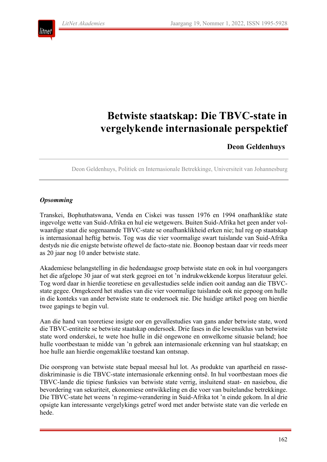ıtnet



## **Deon Geldenhuys**

Deon Geldenhuys, Politiek en Internasionale Betrekkinge, Universiteit van Johannesburg

#### *Opsomming*

Transkei, Bophuthatswana, Venda en Ciskei was tussen 1976 en 1994 onafhanklike state ingevolge wette van Suid-Afrika en hul eie wetgewers. Buiten Suid-Afrika het geen ander volwaardige staat die sogenaamde TBVC-state se onafhanklikheid erken nie; hul reg op staatskap is internasionaal heftig betwis. Tog was die vier voormalige swart tuislande van Suid-Afrika destyds nie die enigste betwiste oftewel de facto-state nie. Boonop bestaan daar vir reeds meer as 20 jaar nog 10 ander betwiste state.

Akademiese belangstelling in die hedendaagse groep betwiste state en ook in hul voorgangers het die afgelope 30 jaar of wat sterk gegroei en tot 'n indrukwekkende korpus literatuur gelei. Tog word daar in hierdie teoretiese en gevallestudies selde indien ooit aandag aan die TBVCstate gegee. Omgekeerd het studies van die vier voormalige tuislande ook nie gepoog om hulle in die konteks van ander betwiste state te ondersoek nie. Die huidige artikel poog om hierdie twee gapings te begin vul.

Aan die hand van teoretiese insigte oor en gevallestudies van gans ander betwiste state, word die TBVC-entiteite se betwiste staatskap ondersoek. Drie fases in die lewensiklus van betwiste state word onderskei, te wete hoe hulle in dié ongewone en onwelkome situasie beland; hoe hulle voortbestaan te midde van 'n gebrek aan internasionale erkenning van hul staatskap; en hoe hulle aan hierdie ongemaklike toestand kan ontsnap.

Die oorsprong van betwiste state bepaal meesal hul lot. As produkte van apartheid en rassediskriminasie is die TBVC-state internasionale erkenning ontsê. In hul voortbestaan moes die TBVC-lande die tipiese funksies van betwiste state verrig, insluitend staat- en nasiebou, die bevordering van sekuriteit, ekonomiese ontwikkeling en die voer van buitelandse betrekkinge. Die TBVC-state het weens 'n regime-verandering in Suid-Afrika tot 'n einde gekom. In al drie opsigte kan interessante vergelykings getref word met ander betwiste state van die verlede en hede.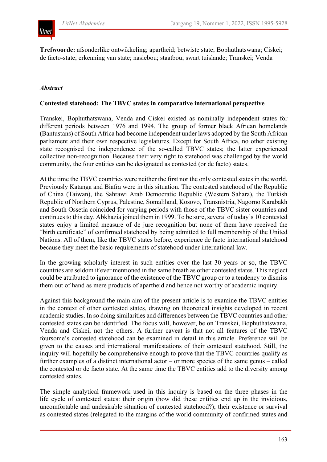

**Trefwoorde:** afsonderlike ontwikkeling; apartheid; betwiste state; Bophuthatswana; Ciskei; de facto-state; erkenning van state; nasiebou; staatbou; swart tuislande; Transkei; Venda

#### *Abstract*

#### **Contested statehood: The TBVC states in comparative international perspective**

Transkei, Bophuthatswana, Venda and Ciskei existed as nominally independent states for different periods between 1976 and 1994. The group of former black African homelands (Bantustans) of South Africa had become independent under laws adopted by the South African parliament and their own respective legislatures. Except for South Africa, no other existing state recognised the independence of the so-called TBVC states; the latter experienced collective non-recognition. Because their very right to statehood was challenged by the world community, the four entities can be designated as contested (or de facto) states.

At the time the TBVC countries were neither the first nor the only contested states in the world. Previously Katanga and Biafra were in this situation. The contested statehood of the Republic of China (Taiwan), the Sahrawi Arab Democratic Republic (Western Sahara), the Turkish Republic of Northern Cyprus, Palestine, Somaliland, Kosovo, Transnistria, Nagorno Karabakh and South Ossetia coincided for varying periods with those of the TBVC sister countries and continues to this day. Abkhazia joined them in 1999. To be sure, several of today's 10 contested states enjoy a limited measure of de jure recognition but none of them have received the "birth certificate" of confirmed statehood by being admitted to full membership of the United Nations. All of them, like the TBVC states before, experience de facto international statehood because they meet the basic requirements of statehood under international law.

In the growing scholarly interest in such entities over the last 30 years or so, the TBVC countries are seldom if ever mentioned in the same breath as other contested states. This neglect could be attributed to ignorance of the existence of the TBVC group or to a tendency to dismiss them out of hand as mere products of apartheid and hence not worthy of academic inquiry.

Against this background the main aim of the present article is to examine the TBVC entities in the context of other contested states, drawing on theoretical insights developed in recent academic studies. In so doing similarities and differences between the TBVC countries and other contested states can be identified. The focus will, however, be on Transkei, Bophuthatswana, Venda and Ciskei, not the others. A further caveat is that not all features of the TBVC foursome's contested statehood can be examined in detail in this article. Preference will be given to the causes and international manifestations of their contested statehood. Still, the inquiry will hopefully be comprehensive enough to prove that the TBVC countries qualify as further examples of a distinct international actor – or more species of the same genus – called the contested or de facto state. At the same time the TBVC entities add to the diversity among contested states.

The simple analytical framework used in this inquiry is based on the three phases in the life cycle of contested states: their origin (how did these entities end up in the invidious, uncomfortable and undesirable situation of contested statehood?); their existence or survival as contested states (relegated to the margins of the world community of confirmed states and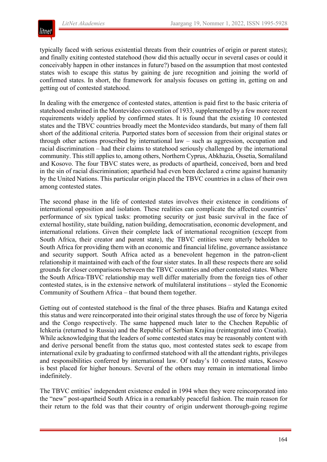

typically faced with serious existential threats from their countries of origin or parent states); and finally exiting contested statehood (how did this actually occur in several cases or could it conceivably happen in other instances in future?) based on the assumption that most contested states wish to escape this status by gaining de jure recognition and joining the world of confirmed states. In short, the framework for analysis focuses on getting in, getting on and getting out of contested statehood.

In dealing with the emergence of contested states, attention is paid first to the basic criteria of statehood enshrined in the Montevideo convention of 1933, supplemented by a few more recent requirements widely applied by confirmed states. It is found that the existing 10 contested states and the TBVC countries broadly meet the Montevideo standards, but many of them fall short of the additional criteria. Purported states born of secession from their original states or through other actions proscribed by international law – such as aggression, occupation and racial discrimination – had their claims to statehood seriously challenged by the international community. This still applies to, among others, Northern Cyprus, Abkhazia, Ossetia, Somaliland and Kosovo. The four TBVC states were, as products of apartheid, conceived, born and bred in the sin of racial discrimination; apartheid had even been declared a crime against humanity by the United Nations. This particular origin placed the TBVC countries in a class of their own among contested states.

The second phase in the life of contested states involves their existence in conditions of international opposition and isolation. These realities can complicate the affected countries' performance of six typical tasks: promoting security or just basic survival in the face of external hostility, state building, nation building, democratisation, economic development, and international relations. Given their complete lack of international recognition (except from South Africa, their creator and parent state), the TBVC entities were utterly beholden to South Africa for providing them with an economic and financial lifeline, governance assistance and security support. South Africa acted as a benevolent hegemon in the patron-client relationship it maintained with each of the four sister states. In all these respects there are solid grounds for closer comparisons between the TBVC countries and other contested states. Where the South Africa-TBVC relationship may well differ materially from the foreign ties of other contested states, is in the extensive network of multilateral institutions – styled the Economic Community of Southern Africa – that bound them together.

Getting out of contested statehood is the final of the three phases. Biafra and Katanga exited this status and were reincorporated into their original states through the use of force by Nigeria and the Congo respectively. The same happened much later to the Chechen Republic of Ichkeria (returned to Russia) and the Republic of Serbian Krajina (reintegrated into Croatia). While acknowledging that the leaders of some contested states may be reasonably content with and derive personal benefit from the status quo, most contested states seek to escape from international exile by graduating to confirmed statehood with all the attendant rights, privileges and responsibilities conferred by international law. Of today's 10 contested states, Kosovo is best placed for higher honours. Several of the others may remain in international limbo indefinitely.

The TBVC entities' independent existence ended in 1994 when they were reincorporated into the "new" post-apartheid South Africa in a remarkably peaceful fashion. The main reason for their return to the fold was that their country of origin underwent thorough-going regime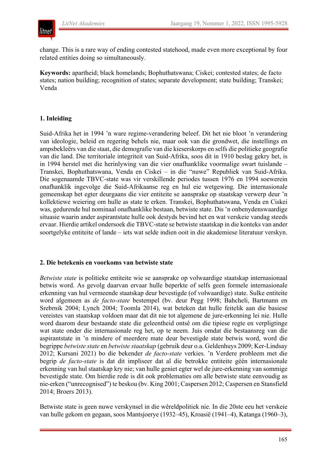

change. This is a rare way of ending contested statehood, made even more exceptional by four related entities doing so simultaneously.

**Keywords:** apartheid; black homelands; Bophuthatswana; Ciskei; contested states; de facto states; nation building; recognition of states; separate development; state building; Transkei; Venda

## **1. Inleiding**

Suid-Afrika het in 1994 'n ware regime-verandering beleef. Dit het nie bloot 'n verandering van ideologie, beleid en regering behels nie, maar ook van die grondwet, die instellings en ampsbekleërs van die staat, die demografie van die kieserskorps en selfs die politieke geografie van die land. Die territoriale integriteit van Suid-Afrika, soos dit in 1910 beslag gekry het, is in 1994 herstel met die herinlywing van die vier onafhanklike voormalige swart tuislande – Transkei, Bophuthatswana, Venda en Ciskei – in die "nuwe" Republiek van Suid-Afrika. Die sogenaamde TBVC-state was vir verskillende periodes tussen 1976 en 1994 soewerein onafhanklik ingevolge die Suid-Afrikaanse reg en hul eie wetgewing. Die internasionale gemeenskap het egter deurgaans die vier entiteite se aansprake op staatskap verwerp deur 'n kollektiewe weiering om hulle as state te erken. Transkei, Bophuthatswana, Venda en Ciskei was, gedurende hul nominaal onafhanklike bestaan, betwiste state. Dis 'n onbenydenswaardige situasie waarin ander aspirantstate hulle ook destyds bevind het en wat verskeie vandag steeds ervaar. Hierdie artikel ondersoek die TBVC-state se betwiste staatskap in die konteks van ander soortgelyke entiteite of lande – iets wat selde indien ooit in die akademiese literatuur verskyn.

#### **2. Die betekenis en voorkoms van betwiste state**

*Betwiste state* is politieke entiteite wie se aansprake op volwaardige staatskap internasionaal betwis word. As gevolg daarvan ervaar hulle beperkte of selfs geen formele internasionale erkenning van hul vermeende staatskap deur bevestigde (of volwaardige) state. Sulke entiteite word algemeen as *de facto-state* bestempel (bv. deur Pegg 1998; Bahcheli, Bartmann en Srebrnik 2004; Lynch 2004; Toomla 2014), wat beteken dat hulle feitelik aan die basiese vereistes van staatskap voldoen maar dat dit nie tot algemene de jure-erkenning lei nie. Hulle word daarom deur bestaande state die geleentheid ontsê om die tipiese regte en verpligtinge wat state onder die internasionale reg het, op te neem. Juis omdat die bestaansreg van die aspirantstate in 'n mindere of meerdere mate deur bevestigde state betwis word, word die begrippe *betwiste state* en *betwiste staatskap* (gebruik deur o.a. Geldenhuys 2009; Ker-Lindsay 2012; Kursani 2021) bo die bekender *de facto-state* verkies. 'n Verdere probleem met die begrip *de facto-state* is dat dit impliseer dat al die betrokke entiteite géén internasionale erkenning van hul staatskap kry nie; van hulle geniet egter wel de jure-erkenning van sommige bevestigde state. Om hierdie rede is dit ook problematies om alle betwiste state eenvoudig as nie-erken ("unrecognised") te beskou (bv. King 2001; Caspersen 2012; Caspersen en Stansfield 2014; Broers 2013).

Betwiste state is geen nuwe verskynsel in die wêreldpolitiek nie. In die 20ste eeu het verskeie van hulle gekom en gegaan, soos Mantsjoerye (1932–45), Kroasië (1941–4), Katanga (1960–3),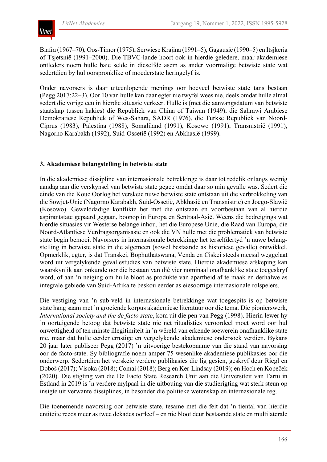

Biafra (1967–70), Oos-Timor (1975), Serwiese Krajina (1991–5), Gagausië (1990–5) en Itsjkeria of Tsjetsnië (1991–2000). Die TBVC-lande hoort ook in hierdie geledere, maar akademiese ontleders noem hulle baie selde in dieselfde asem as ander voormalige betwiste state wat sedertdien by hul oorspronklike of moederstate heringelyf is.

Onder navorsers is daar uiteenlopende menings oor hoeveel betwiste state tans bestaan (Pegg 2017:22–3). Oor 10 van hulle kan daar egter nie twyfel wees nie, deels omdat hulle almal sedert die vorige eeu in hierdie situasie verkeer. Hulle is (met die aanvangsdatum van betwiste staatskap tussen hakies) die Republiek van China of Taiwan (1949), die Sahrawi Arabiese Demokratiese Republiek of Wes-Sahara, SADR (1976), die Turkse Republiek van Noord-Ciprus (1983), Palestina (1988), Somaliland (1991), Kosowo (1991), Transnistrië (1991), Nagorno Karabakh (1992), Suid-Ossetië (1992) en Abkhasië (1999).

## **3. Akademiese belangstelling in betwiste state**

In die akademiese dissipline van internasionale betrekkinge is daar tot redelik onlangs weinig aandag aan die verskynsel van betwiste state gegee omdat daar so min gevalle was. Sedert die einde van die Koue Oorlog het verskeie nuwe betwiste state ontstaan uit die verbrokkeling van die Sowjet-Unie (Nagorno Karabakh, Suid-Ossetië, Abkhasië en Transnistrië) en Joego-Slawië (Kosowo). Gewelddadige konflikte het met die ontstaan en voortbestaan van al hierdie aspirantstate gepaard gegaan, boonop in Europa en Sentraal-Asië. Weens die bedreigings wat hierdie situasies vir Westerse belange inhou, het die Europese Unie, die Raad van Europa, die Noord-Atlantiese Verdragsorganisasie en ook die VN hulle met die problematiek van betwiste state begin bemoei. Navorsers in internasionale betrekkinge het terselfdertyd 'n nuwe belangstelling in betwiste state in die algemeen (sowel bestaande as historiese gevalle) ontwikkel. Opmerklik, egter, is dat Transkei, Bophuthatswana, Venda en Ciskei steeds meesal weggelaat word uit vergelykende gevallestudies van betwiste state. Hierdie akademiese afskeping kan waarskynlik aan onkunde oor die bestaan van dié vier nominaal onafhanklike state toegeskryf word, of aan 'n neiging om hulle bloot as produkte van apartheid af te maak en derhalwe as integrale gebiede van Suid-Afrika te beskou eerder as eiesoortige internasionale rolspelers.

Die vestiging van 'n sub-veld in internasionale betrekkinge wat toegespits is op betwiste state hang saam met 'n groeiende korpus akademiese literatuur oor die tema. Die pionierswerk, *International society and the de facto state*, kom uit die pen van Pegg (1998). Hierin lewer hy 'n oortuigende betoog dat betwiste state nie net ritualisties veroordeel moet word oor hul onwettigheid of ten minste illegitimiteit in 'n wêreld van erkende soewerein onafhanklike state nie, maar dat hulle eerder ernstige en vergelykende akademiese ondersoek verdien. Bykans 20 jaar later publiseer Pegg (2017) 'n uitvoerige bestekopname van die stand van navorsing oor de facto-state. Sy bibliografie noem amper 75 wesenlike akademiese publikasies oor die onderwerp. Sedertdien het verskeie verdere publikasies die lig gesien, geskryf deur Riegl en Doboš (2017); Visoka (2018); Comai (2018); Berg en Ker-Lindsay (2019); en Hoch en Kopeček (2020). Die stigting van die De Facto State Research Unit aan die Universiteit van Tartu in Estland in 2019 is 'n verdere mylpaal in die uitbouing van die studierigting wat sterk steun op insigte uit verwante dissiplines, in besonder die politieke wetenskap en internasionale reg.

Die toenemende navorsing oor betwiste state, tesame met die feit dat 'n tiental van hierdie entiteite reeds meer as twee dekades oorleef – en nie bloot deur bestaande state en multilaterale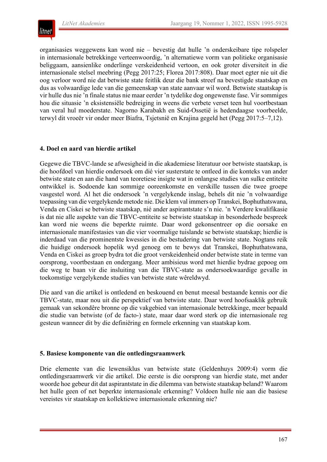

organisasies weggewens kan word nie – bevestig dat hulle 'n onderskeibare tipe rolspeler in internasionale betrekkinge verteenwoordig, 'n alternatiewe vorm van politieke organisasie beliggaam, aansienlike onderlinge verskeidenheid vertoon, en ook groter diversiteit in die internasionale stelsel meebring (Pegg 2017:25; Florea 2017:808). Daar moet egter nie uit die oog verloor word nie dat betwiste state feitlik deur die bank streef na bevestigde staatskap en dus as volwaardige lede van die gemeenskap van state aanvaar wil word. Betwiste staatskap is vir hulle dus nie 'n finale status nie maar eerder 'n tydelike dog ongewenste fase. Vir sommiges hou die situasie 'n eksistensiële bedreiging in weens die verbete verset teen hul voortbestaan van veral hul moederstate. Nagorno Karabakh en Suid-Ossetië is hedendaagse voorbeelde, terwyl dit vroeër vir onder meer Biafra, Tsjetsnië en Krajina gegeld het (Pegg 2017:5–7,12).

#### **4. Doel en aard van hierdie artikel**

Gegewe die TBVC-lande se afwesigheid in die akademiese literatuur oor betwiste staatskap, is die hoofdoel van hierdie ondersoek om dié vier susterstate te ontleed in die konteks van ander betwiste state en aan die hand van teoretiese insigte wat in onlangse studies van sulke entiteite ontwikkel is. Sodoende kan sommige ooreenkomste en verskille tussen die twee groepe vasgestel word. Al het die ondersoek 'n vergelykende inslag, behels dit nie 'n volwaardige toepassing van die vergelykende metode nie. Die klem val immers op Transkei, Bophuthatswana, Venda en Ciskei se betwiste staatskap, nié ander aspirantstate s'n nie. 'n Verdere kwalifikasie is dat nie alle aspekte van die TBVC-entiteite se betwiste staatskap in besonderhede bespreek kan word nie weens die beperkte ruimte. Daar word gekonsentreer op die oorsake en internasionale manifestasies van die vier voormalige tuislande se betwiste staatskap; hierdie is inderdaad van die prominentste kwessies in die bestudering van betwiste state. Nogtans reik die huidige ondersoek hopelik wyd genoeg om te bewys dat Transkei, Bophuthatswana, Venda en Ciskei as groep bydra tot die groot verskeidenheid onder betwiste state in terme van oorsprong, voortbestaan en ondergang. Meer ambisieus word met hierdie bydrae gepoog om die weg te baan vir die insluiting van die TBVC-state as ondersoekwaardige gevalle in toekomstige vergelykende studies van betwiste state wêreldwyd.

Die aard van die artikel is ontledend en beskouend en benut meesal bestaande kennis oor die TBVC-state, maar nou uit die perspektief van betwiste state. Daar word hoofsaaklik gebruik gemaak van sekondêre bronne op die vakgebied van internasionale betrekkinge, meer bepaald die studie van betwiste (of de facto-) state, maar daar word sterk op die internasionale reg gesteun wanneer dit by die definiëring en formele erkenning van staatskap kom.

#### **5. Basiese komponente van die ontledingsraamwerk**

Drie elemente van die lewensiklus van betwiste state (Geldenhuys 2009:4) vorm die ontledingsraamwerk vir die artikel. Die eerste is die oorsprong van hierdie state, met ander woorde hoe gebeur dit dat aspirantstate in die dilemma van betwiste staatskap beland? Waarom het hulle geen of net beperkte internasionale erkenning? Voldoen hulle nie aan die basiese vereistes vir staatskap en kollektiewe internasionale erkenning nie?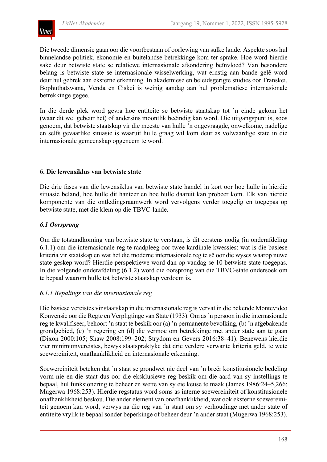Die tweede dimensie gaan oor die voortbestaan of oorlewing van sulke lande. Aspekte soos hul binnelandse politiek, ekonomie en buitelandse betrekkinge kom ter sprake. Hoe word hierdie sake deur betwiste state se relatiewe internasionale afsondering beïnvloed? Van besondere belang is betwiste state se internasionale wisselwerking, wat ernstig aan bande gelê word deur hul gebrek aan eksterne erkenning. In akademiese en beleidsgerigte studies oor Transkei, Bophuthatswana, Venda en Ciskei is weinig aandag aan hul problematiese internasionale betrekkinge gegee.

In die derde plek word gevra hoe entiteite se betwiste staatskap tot 'n einde gekom het (waar dit wel gebeur het) of andersins moontlik beëindig kan word. Die uitgangspunt is, soos genoem, dat betwiste staatskap vir die meeste van hulle 'n ongevraagde, onwelkome, nadelige en selfs gevaarlike situasie is waaruit hulle graag wil kom deur as volwaardige state in die internasionale gemeenskap opgeneem te word.

## **6. Die lewensiklus van betwiste state**

Die drie fases van die lewensiklus van betwiste state handel in kort oor hoe hulle in hierdie situasie beland, hoe hulle dit hanteer en hoe hulle daaruit kan probeer kom. Elk van hierdie komponente van die ontledingsraamwerk word vervolgens verder toegelig en toegepas op betwiste state, met die klem op die TBVC-lande.

## *6.1 Oorsprong*

Om die totstandkoming van betwiste state te verstaan, is dit eerstens nodig (in onderafdeling 6.1.1) om die internasionale reg te raadpleeg oor twee kardinale kwessies: wat is die basiese kriteria vir staatskap en wat het die moderne internasionale reg te sê oor die wyses waarop nuwe state geskep word? Hierdie perspektiewe word dan op vandag se 10 betwiste state toegepas. In die volgende onderafdeling (6.1.2) word die oorsprong van die TBVC-state ondersoek om te bepaal waarom hulle tot betwiste staatskap verdoem is.

#### *6.1.1 Bepalings van die internasionale reg*

Die basiese vereistes vir staatskap in die internasionale reg is vervat in die bekende Montevideo Konvensie oor die Regte en Verpligtinge van State (1933). Om as'n persoon in die internasionale reg te kwalifiseer, behoort 'n staat te beskik oor (a) 'n permanente bevolking, (b) 'n afgebakende grondgebied, (c) 'n regering en (d) die vermoë om betrekkinge met ander state aan te gaan (Dixon 2000:105; Shaw 2008:199–202; Strydom en Gevers 2016:38–41). Benewens hierdie vier minimumvereistes, bewys staatspraktyke dat drie verdere verwante kriteria geld, te wete soewereiniteit, onafhanklikheid en internasionale erkenning.

Soewereiniteit beteken dat 'n staat se grondwet nie deel van 'n breër konstitusionele bedeling vorm nie en die staat dus oor die eksklusiewe reg beskik om die aard van sy instellings te bepaal, hul funksionering te beheer en wette van sy eie keuse te maak (James 1986:24–5,266; Mugerwa 1968:253). Hierdie regstatus word soms as interne soewereiniteit of konstitusionele onafhanklikheid beskou. Die ander element van onafhanklikheid, wat ook eksterne soewereiniteit genoem kan word, verwys na die reg van 'n staat om sy verhoudinge met ander state of entiteite vrylik te bepaal sonder beperkinge of beheer deur 'n ander staat (Mugerwa 1968:253).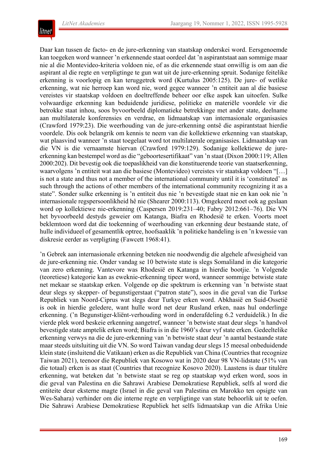

Daar kan tussen de facto- en de jure-erkenning van staatskap onderskei word. Eersgenoemde kan toegeken word wanneer 'n erkennende staat oordeel dat 'n aspirantstaat aan sommige maar nie al die Montevideo-kriteria voldoen nie, of as die erkennende staat onwillig is om aan die aspirant al die regte en verpligtinge te gun wat uit de jure-erkenning spruit. Sodanige feitelike erkenning is voorlopig en kan teruggetrek word (Kurtulus 2005:125). De jure- of wetlike erkenning, wat nie herroep kan word nie, word gegee wanneer 'n entiteit aan al die basiese vereistes vir staatskap voldoen en doeltreffende beheer oor elke aspek kan uitoefen. Sulke volwaardige erkenning kan beduidende juridiese, politieke en materiële voordele vir die betrokke staat inhou, soos byvoorbeeld diplomatieke betrekkinge met ander state, deelname aan multilaterale konferensies en verdrae, en lidmaatskap van internasionale organisasies (Crawford 1979:23). Die weerhouding van de jure-erkenning ontsê die aspirantstaat hierdie voordele. Dis ook belangrik om kennis te neem van die kollektiewe erkenning van staatskap, wat plaasvind wanneer 'n staat toegelaat word tot multilaterale organisasies. Lidmaatskap van die VN is die vernaamste hiervan (Crawford 1979:129). Sodanige kollektiewe de jureerkenning kan bestempel word as die "geboortesertifikaat" van 'n staat (Dixon 2000:119; Allen 2000:202). Dit bevestig ook die toepaslikheid van die konstituerende teorie van staatserkenning, waarvolgens 'n entiteit wat aan die basiese (Montevideo) vereistes vir staatskap voldoen "[…] is not a state and thus not a member of the international community until it is 'constituted' as such through the actions of other members of the international community recognizing it as a state". Sonder sulke erkenning is 'n entiteit dus nie 'n bevestigde staat nie en kan ook nie 'n internasionale regspersoonlikheid hê nie (Shearer 2000:113). Omgekeerd moet ook ag geslaan word op kollektiewe nie-erkenning (Caspersen 2019:231–40; Fabry 2012:661–76). Die VN het byvoorbeeld destyds geweier om Katanga, Biafra en Rhodesië te erken. Voorts moet beklemtoon word dat die toekenning of weerhouding van erkenning deur bestaande state, of hulle individueel of gesamentlik optree, hoofsaaklik 'n politieke handeling is en 'n kwessie van diskresie eerder as verpligting (Fawcett 1968:41).

'n Gebrek aan internasionale erkenning beteken nie noodwendig die algehele afwesigheid van de jure-erkenning nie. Onder vandag se 10 betwiste state is slegs Somaliland in die kategorie van zero erkenning. Vantevore was Rhodesië en Katanga in hierdie bootjie. 'n Volgende (teoretiese) kategorie kan as eweknie-erkenning tipeer word, wanneer sommige betwiste state net mekaar se staatskap erken. Volgende op die spektrum is erkenning van 'n betwiste staat deur slegs sy skepper- of begunstigerstaat ("patron state"), soos in die geval van die Turkse Republiek van Noord-Ciprus wat slegs deur Turkye erken word. Abkhasië en Suid-Ossetië is ook in hierdie geledere, want hulle word net deur Rusland erken, naas hul onderlinge erkenning. ('n Begunstiger-kliënt-verhouding word in onderafdeling 6.2 verduidelik.) In die vierde plek word beskeie erkenning aangetref, wanneer 'n betwiste staat deur slegs 'n handvol bevestigde state amptelik erken word; Biafra is in die 1960's deur vyf state erken. Gedeeltelike erkenning verwys na die de jure-erkenning van 'n betwiste staat deur 'n aantal bestaande state maar steeds uitsluiting uit die VN. So word Taiwan vandag deur slegs 15 meesal onbeduidende klein state (insluitend die Vatikaan) erken as die Republiek van China (Countriesthat recognize Taiwan 2021), teenoor die Republiek van Kosowo wat in 2020 deur 98 VN-lidstate (51% van die totaal) erken is as staat (Countries that recognize Kosovo 2020). Laastens is daar titulêre erkenning, wat beteken dat 'n betwiste staat se reg op staatskap wyd erken word, soos in die geval van Palestina en die Sahrawi Arabiese Demokratiese Republiek, selfs al word die entiteite deur eksterne magte (Israel in die geval van Palestina en Marokko ten opsigte van Wes-Sahara) verhinder om die interne regte en verpligtinge van state behoorlik uit te oefen. Die Sahrawi Arabiese Demokratiese Republiek het selfs lidmaatskap van die Afrika Unie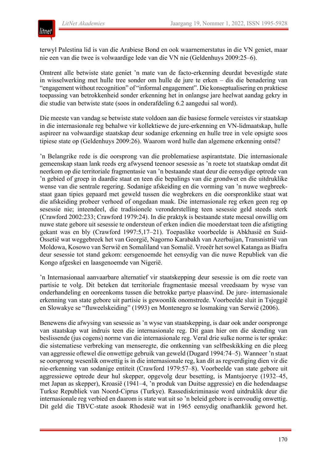

terwyl Palestina lid is van die Arabiese Bond en ook waarnemerstatus in die VN geniet, maar nie een van die twee is volwaardige lede van die VN nie (Geldenhuys 2009:25–6).

Omtrent alle betwiste state geniet 'n mate van de facto-erkenning deurdat bevestigde state in wisselwerking met hulle tree sonder om hulle de jure te erken – dis die benadering van "engagement without recognition" of "informal engagement". Die konseptualisering en praktiese toepassing van betrokkenheid sonder erkenning het in onlangse jare heelwat aandag gekry in die studie van betwiste state (soos in onderafdeling 6.2 aangedui sal word).

Die meeste van vandag se betwiste state voldoen aan die basiese formele vereistes vir staatskap in die internasionale reg behalwe vir kollektiewe de jure-erkenning en VN-lidmaatskap, hulle aspireer na volwaardige staatskap deur sodanige erkenning en hulle tree in vele opsigte soos tipiese state op (Geldenhuys 2009:26). Waarom word hulle dan algemene erkenning ontsê?

'n Belangrike rede is die oorsprong van die problematiese aspirantstate. Die internasionale gemeenskap staan lank reeds erg afwysend teenoor sesessie as 'n roete tot staatskap omdat dit neerkom op die territoriale fragmentasie van 'n bestaande staat deur die eensydige optrede van 'n gebied of groep in daardie staat en teen die bepalings van die grondwet en die uitdruklike wense van die sentrale regering. Sodanige afskeiding en die vorming van 'n nuwe wegbreekstaat gaan tipies gepaard met geweld tussen die wegbrekers en die oorspronklike staat wat die afskeiding probeer verhoed of ongedaan maak. Die internasionale reg erken geen reg op sesessie nie; inteendeel, die tradisionele veronderstelling teen sesessie geld steeds sterk (Crawford 2002:233; Crawford 1979:24). In die praktyk is bestaande state meesal onwillig om nuwe state gebore uit sesessie te ondersteun of erken indien die moederstaat teen die afstigting gekant was en bly (Crawford 1997:5,17–21). Toepaslike voorbeelde is Abkhasië en Suid-Ossetië wat weggebreek het van Georgië, Nagorno Karabakh van Azerbaijan, Transnistrië van Moldowa, Kosowo van Serwië en Somaliland van Somalië. Vroeër hetsowel Katanga as Biafra deur sesessie tot stand gekom: eersgenoemde het eensydig van die nuwe Republiek van die Kongo afgeskei en laasgenoemde van Nigerië.

'n Internasionaal aanvaarbare alternatief vir staatskepping deur sesessie is om die roete van partisie te volg. Dit beteken dat territoriale fragmentasie meesal vreedsaam by wyse van onderhandeling en ooreenkoms tussen die betrokke partye plaasvind. De jure- internasionale erkenning van state gebore uit partisie is gewoonlik onomstrede. Voorbeelde sluit in Tsjeggië en Slowakye se "fluweelskeiding" (1993) en Montenegro se losmaking van Serwië (2006).

Benewens die afwysing van sesessie as 'n wyse van staatskepping, is daar ook ander oorspronge van staatskap wat indruis teen die internasionale reg. Dit gaan hier om die skending van beslissende (jus cogens) norme van die internasionale reg. Veral drie sulke norme is ter sprake: die sistematiese verbreking van menseregte, die ontkenning van selfbeskikking en die pleeg van aggressie oftewel die onwettige gebruik van geweld (Dugard 1994:74–5). Wanneer 'n staat se oorsprong wesenlik onwettig is in die internasionale reg, kan dit as regverdiging dien vir die nie-erkenning van sodanige entiteit (Crawford 1979:57–8). Voorbeelde van state gebore uit aggressiewe optrede deur hul skepper, opgevolg deur besetting, is Mantsjoerye (1932–45, met Japan as skepper), Kroasië (1941–4, 'n produk van Duitse aggressie) en die hedendaagse Turkse Republiek van Noord-Ciprus (Turkye). Rassediskriminasie word uitdruklik deur die internasionale reg verbied en daarom is state wat uit so 'n beleid gebore is eenvoudig onwettig. Dit geld die TBVC-state asook Rhodesië wat in 1965 eensydig onafhanklik geword het.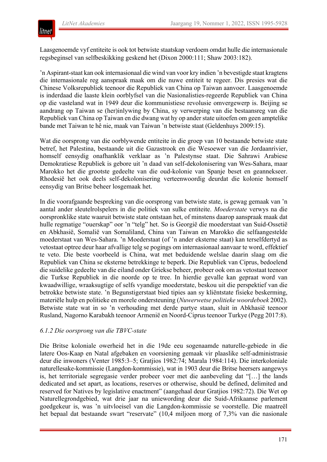

Laasgenoemde vyf entiteite is ook tot betwiste staatskap verdoem omdat hulle die internasionale regsbeginsel van selfbeskikking geskend het (Dixon 2000:111; Shaw 2003:182).

'n Aspirant-staat kan ook internasionaal die wind van voor kry indien 'n bevestigde staat kragtens die internasionale reg aanspraak maak om die nuwe entiteit te regeer. Dis presies wat die Chinese Volksrepubliek teenoor die Republiek van China op Taiwan aanvoer. Laasgenoemde is inderdaad die laaste klein oorblyfsel van die Nasionalisties-regeerde Republiek van China op die vasteland wat in 1949 deur die kommunistiese revolusie omvergewerp is. Beijing se aandrang op Taiwan se (her)inlywing by China, sy verwerping van die bestaansreg van die Republiek van China op Taiwan en die dwang wat hy op anderstate uitoefen om geen amptelike bande met Taiwan te hê nie, maak van Taiwan 'n betwiste staat (Geldenhuys 2009:15).

Wat die oorsprong van die oorblywende entiteite in die groep van 10 bestaande betwiste state betref, het Palestina, bestaande uit die Gazastrook en die Wesoewer van die Jordaanrivier, homself eensydig onafhanklik verklaar as 'n Palestynse staat. Die Sahrawi Arabiese Demokratiese Republiek is gebore uit 'n daad van self-dekolonisering van Wes-Sahara, maar Marokko het die grootste gedeelte van die oud-kolonie van Spanje beset en geannekseer. Rhodesië het ook deels self-dekolonisering verteenwoordig deurdat die kolonie homself eensydig van Britse beheer losgemaak het.

In die voorafgaande bespreking van die oorsprong van betwiste state, is gewag gemaak van 'n aantal ander sleutelrolspelers in die politiek van sulke entiteite. *Moederstate* verwys na die oorspronklike state waaruit betwiste state ontstaan het, of minstens daarop aanspraak maak dat hulle regmatige "ouerskap" oor 'n "telg" het. So is Georgië die moederstaat van Suid-Ossetië en Abkhasië, Somalië van Somaliland, China van Taiwan en Marokko die selfaangestelde moederstaat van Wes-Sahara. 'n Moederstaat (of 'n ander eksterne staat) kan terselfdertyd as vetostaat optree deur haar afvallige telg se pogings om internasionaal aanvaar te word, effektief te veto. Die beste voorbeeld is China, wat met beduidende welslae daarin slaag om die Republiek van China se eksterne betrekkinge te beperk. Die Republiek van Ciprus, bedoelend die suidelike gedeelte van die eiland onder Griekse beheer, probeer ook om as vetostaat teenoor die Turkse Republiek in die noorde op te tree. In hierdie gevalle kan gepraat word van kwaadwillige, wraaksugtige of selfs vyandige moederstate, beskou uit die perspektief van die betrokke betwiste state. 'n Begunstigerstaat bied tipies aan sy kliëntstate fisieke beskerming, materiële hulp en politieke en morele ondersteuning (*Nuwerwetse politieke woordeboek* 2002). Betwiste state wat in so 'n verhouding met derde partye staan, sluit in Abkhasië teenoor Rusland, Nagorno Karabakh teenoor Armenië en Noord-Ciprus teenoor Turkye (Pegg 2017:8).

#### *6.1.2 Die oorsprong van die TBVC-state*

Die Britse koloniale owerheid het in die 19de eeu sogenaamde naturelle-gebiede in die latere Oos-Kaap en Natal afgebaken en voorsiening gemaak vir plaaslike self-administrasie deur die inwoners (Venter 1985:3–5; Gratjios 1982:74; Marala 1984:114). Die interkoloniale naturellesake-kommissie (Langdon-kommissie), wat in 1903 deur die Britse heersers aangewys is, het territoriale segregasie verder probeer voer met die aanbeveling dat "[…] the lands dedicated and set apart, as locations, reserves or otherwise, should be defined, delimited and reserved for Natives by legislative enactment" (aangehaal deur Gratjios 1982:72). Die Wet op Naturellegrondgebied, wat drie jaar na uniewording deur die Suid-Afrikaanse parlement goedgekeur is, was 'n uitvloeisel van die Langdon-kommissie se voorstelle. Die maatreël het bepaal dat bestaande swart "reservate" (10,4 miljoen morg of 7,3% van die nasionale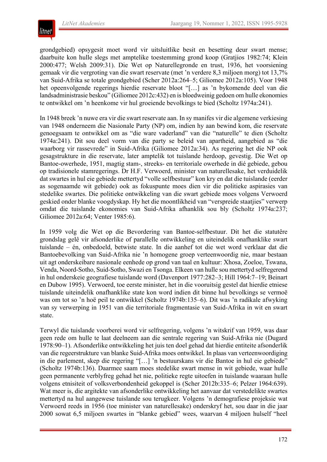

grondgebied) opsygesit moet word vir uitsluitlike besit en besetting deur swart mense; daarbuite kon hulle slegs met amptelike toestemming grond koop (Gratjios 1982:74; Klein 2000:477; Welsh 2009:31). Die Wet op Naturellegronde en trust, 1936, het voorsiening gemaak vir die vergroting van die swart reservate (met 'n verdere 8,3 miljoen morg) tot 13,7% van Suid-Afrika se totale grondgebied (Scher 2012a:264–5; Giliomee 2012a:105). Voor 1948 het opeenvolgende regerings hierdie reservate bloot "[…] as 'n bykomende deel van die landsadministrasie beskou" (Giliomee 2012c:432) en is bloedweinig gedoen om hulle ekonomies te ontwikkel om 'n heenkome vir hul groeiende bevolkings te bied (Scholtz 1974a:241).

In 1948 breek 'n nuwe era vir die swart reservate aan. In sy manifes vir die algemene verkiesing van 1948 onderneem die Nasionale Party (NP) om, indien hy aan bewind kom, die reservate genoegsaam te ontwikkel om as "die ware vaderland" van die "naturelle" te dien (Scholtz 1974a:241). Dit sou deel vorm van die party se beleid van apartheid, aangebied as "die waarborg vir rassevrede" in Suid-Afrika (Giliomee 2012a:34). As regering het die NP ook gesagstrukture in die reservate, later amptelik tot tuislande herdoop, gevestig. Die Wet op Bantoe-owerhede, 1951, magtig stam-, streeks- en territoriale owerhede in dié gebiede, gebou op tradisionele stamregerings. Dr H.F. Verwoerd, minister van naturellesake, het verduidelik dat swartes in hul eie gebiede mettertyd "volle selfbestuur" kon kry en dat die tuislande (eerder as sogenaamde wit gebiede) ook as fokuspunte moes dien vir die politieke aspirasies van stedelike swartes. Die politieke ontwikkeling van die swart gebiede moes volgens Verwoerd geskied onder blanke voogdyskap. Hy het die moontlikheid van "verspreide staatjies" verwerp omdat die tuislande ekonomies van Suid-Afrika afhanklik sou bly (Scholtz 1974a:237; Giliomee 2012a:64; Venter 1985:6).

In 1959 volg die Wet op die Bevordering van Bantoe-selfbestuur. Dit het die statutêre grondslag gelê vir afsonderlike of parallelle ontwikkeling en uiteindelik onafhanklike swart tuislande – én, onbedoeld, betwiste state. In die aanhef tot die wet word verklaar dat die Bantoebevolking van Suid-Afrika nie 'n homogene groep verteenwoordig nie, maar bestaan uit agt onderskeibare nasionale eenhede op grond van taal en kultuur: Xhosa, Zoeloe, Tswana, Venda, Noord-Sotho, Suid-Sotho, Swazi en Tsonga. Elkeen van hulle sou mettertyd selfregerend in hul onderskeie geografiese tuislande word (Davenport 1977:282–3; Hill 1964:7–19; Beinart en Dubow 1995). Verwoerd, toe eerste minister, het in die vooruitsig gestel dat hierdie etniese tuislande uiteindelik onafhanklike state kon word indien dit binne hul bevolkings se vermoë was om tot so 'n hoë peil te ontwikkel (Scholtz 1974b:135–6). Dit was 'n radikale afwyking van sy verwerping in 1951 van die territoriale fragmentasie van Suid-Afrika in wit en swart state.

Terwyl die tuislande voorberei word vir selfregering, volgens 'n witskrif van 1959, was daar geen rede om hulle te laat deelneem aan die sentrale regering van Suid-Afrika nie (Dugard 1978:90–1). Afsonderlike ontwikkeling het juis ten doel gehad dat hierdie entiteite afsonderlik van die regeerstrukture van blanke Suid-Afrika moes ontwikkel. In plaas van verteenwoordiging in die parlement, skep die regering "[…] 'n bestuurskans vir die Bantoe in hul eie gebiede" (Scholtz 1974b:136). Daarmee saam moes stedelike swart mense in wit gebiede, waar hulle geen permanente verblyfreg gehad het nie, politieke regte uitoefen in tuislande waaraan hulle volgens etnisiteit of volksverbondenheid gekoppel is (Scher 2012b:335–6; Pelzer 1964:639). Wat meer is, die argitekte van afsonderlike ontwikkeling het aanvaar dat verstedelikte swartes mettertyd na hul aangewese tuislande sou terugkeer. Volgens 'n demografiese projeksie wat Verwoerd reeds in 1956 (toe minister van naturellesake) onderskryf het, sou daar in die jaar 2000 sowat 6,5 miljoen swartes in "blanke gebied" wees, waarvan 4 miljoen hulself "heel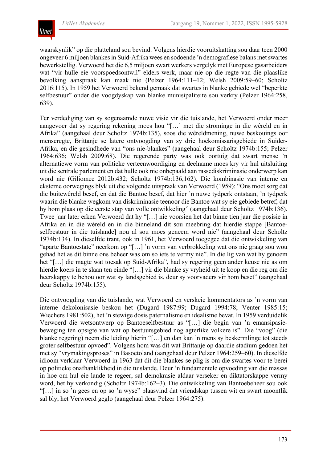

waarskynlik" op die platteland sou bevind. Volgens hierdie vooruitskatting sou daar teen 2000 ongeveer 6 miljoen blankesin Suid-Afrika wees en sodoende 'n demografiese balans metswartes bewerkstellig. Verwoerd het die 6,5 miljoen swart werkers vergelyk met Europese gasarbeiders wat "vir hulle eie voorspoedsontwil" elders werk, maar nie op die regte van die plaaslike bevolking aanspraak kan maak nie (Pelzer 1964:111–12; Welsh 2009:59–60; Scholtz 2016:115). In 1959 het Verwoerd bekend gemaak dat swartes in blanke gebiede wel "beperkte selfbestuur" onder die voogdyskap van blanke munisipaliteite sou verkry (Pelzer 1964:258, 639).

Ter verdediging van sy sogenaamde nuwe visie vir die tuislande, het Verwoerd onder meer aangevoer dat sy regering rekening moes hou "[…] met die strominge in die wêreld en in Afrika" (aangehaal deur Scholtz 1974b:135), soos die wêreldmening, nuwe beskouings oor menseregte, Brittanje se latere ontvoogding van sy drie hoëkomissarisgebiede in Suider-Afrika, en die gesindhede van "ons nie-blankes" (aangehaal deur Scholtz 1974b:155; Pelzer 1964:636; Welsh 2009:68). Die regerende party was ook oortuig dat swart mense 'n alternatiewe vorm van politieke verteenwoordiging en deelname moes kry vir hul uitsluiting uit die sentrale parlement en dat hulle ook nie onbepaald aan rassediskriminasie onderwerp kan word nie (Giliomee 2012b:432; Scholtz 1974b:136,162). Die kombinasie van interne en eksterne oorwegings blyk uit die volgende uitspraak van Verwoerd (1959): "Ons moet sorg dat die buitewêreld besef, en dat die Bantoe besef, dat hier 'n nuwe tydperk ontstaan, 'n tydperk waarin die blanke wegkom van diskriminasie teenoor die Bantoe wat sy eie gebiede betref; dat hy hom plaas op die eerste stap van volle ontwikkeling" (aangehaal deur Scholtz 1974b:136). Twee jaar later erken Verwoerd dat hy "[…] nie voorsien het dat binne tien jaar die posisie in Afrika en in die wêreld en in die binneland dit sou meebring dat hierdie stappe [Bantoeselfbestuur in die tuislande] nou al sou moes geneem word nie" (aangehaal deur Scholtz 1974b:134). In dieselfde trant, ook in 1961, het Verwoerd toegegee dat die ontwikkeling van "aparte Bantoestate" neerkom op "[…] 'n vorm van verbrokkeling wat ons nie graag sou wou gehad het as dit binne ons beheer was om so iets te vermy nie". In die lig van wat hy genoem het "[…] die magte wat toesak op Suid-Afrika", had sy regering geen ander keuse nie as om hierdie koers in te slaan ten einde "[…] vir die blanke sy vryheid uit te koop en die reg om die heerskappy te behou oor wat sy landsgebied is, deur sy voorvaders vir hom beset" (aangehaal deur Scholtz 1974b:155).

Die ontvoogding van die tuislande, wat Verwoerd en verskeie kommentators as 'n vorm van interne dekolonisasie beskou het (Dugard 1987:99; Dugard 1994:78; Venter 1985:15; Wiechers 1981:502), het 'n stewige dosis paternalisme en idealisme bevat. In 1959 verduidelik Verwoerd die wetsontwerp op Bantoeselfbestuur as "[…] die begin van 'n emansipasiebeweging ten opsigte van wat op bestuursgebied nog agterlike volkere is". Die "voog" (die blanke regering) neem die leiding hierin "[…] en dan kan 'n mens sy beskermlinge tot steeds groter selfbestuur opvoed". Volgens hom was dit wat Brittanje op daardie stadium gedoen het met sy "vrymakingsproses" in Basoetoland (aangehaal deur Pelzer 1964:259–60). In dieselfde idioom verklaar Verwoerd in 1963 dat dit die blankes se plig is om die swartes voor te berei op politieke onafhanklikheid in die tuislande. Deur 'n fundamentele opvoeding van die massas in hoe om hul eie lande te regeer, sal demokrasie aldaar verseker en diktatorskappe vermy word, het hy verkondig (Scholtz 1974b:162–3). Die ontwikkeling van Bantoebeheer sou ook "[…] in so 'n gees en op so 'n wyse" plaasvind dat vriendskap tussen wit en swart moontlik sal bly, het Verwoerd geglo (aangehaal deur Pelzer 1964:275).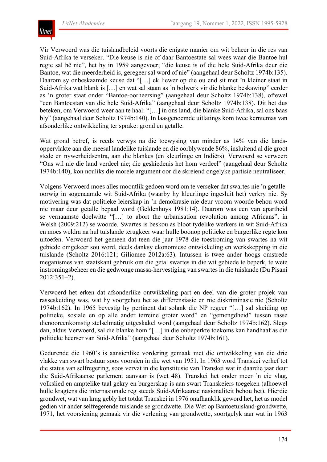

Vir Verwoerd was die tuislandbeleid voorts die enigste manier om wit beheer in die res van Suid-Afrika te verseker. "Die keuse is nie of daar Bantoestate sal wees waar die Bantoe hul regte sal hê nie", het hy in 1959 aangevoer; "die keuse is of die hele Suid-Afrika deur die Bantoe, wat die meerderheid is, geregeer sal word of nie" (aangehaal deur Scholtz 1974b:135). Daarom sy onbeskaamde keuse dat "[…] ek liewer op die ou end sit met 'n kleiner staat in Suid-Afrika wat blank is […] en wat sal staan as 'n bolwerk vir die blanke beskawing" eerder as 'n groter staat onder "Bantoe-oorheersing" (aangehaal deur Scholtz 1974b:138), oftewel "een Bantoestan van die hele Suid-Afrika" (aangehaal deur Scholtz 1974b:138). Dit het dus beteken, om Verwoerd weer aan te haal: "[…] in ons land, die blanke Suid-Afrika, sal ons baas bly" (aangehaal deur Scholtz 1974b:140). In laasgenoemde uitlatings kom twee kerntemas van afsonderlike ontwikkeling ter sprake: grond en getalle.

Wat grond betref, is reeds verwys na die toewysing van minder as 14% van die landsoppervlakte aan die meesal landelike tuislande en die oorblywende 86%, insluitend al die groot stede en nywerheidsentra, aan die blankes (en kleurlinge en Indiërs). Verwoerd se verweer: "Ons wil nie die land verdeel nie; die geskiedenis het hom verdeel" (aangehaal deur Scholtz 1974b:140), kon nouliks die morele argument oor die skreiend ongelyke partisie neutraliseer.

Volgens Verwoerd moes alles moontlik gedoen word om te verseker dat swartes nie 'n getalleoorwig in sogenaamde wit Suid-Afrika (waarby hy kleurlinge ingesluit het) verkry nie. Sy motivering was dat politieke leierskap in 'n demokrasie nie deur vroom woorde behou word nie maar deur getalle bepaal word (Geldenhuys 1981:14). Daarom was een van apartheid se vernaamste doelwitte "[…] to abort the urbanisation revolution among Africans", in Welsh (2009:212) se woorde. Swartes is beskou as bloot tydelike werkers in wit Suid-Afrika en moes weldra na hul tuislande terugkeer waar hulle boonop politieke en burgerlike regte kon uitoefen. Verwoerd het gemeen dat teen die jaar 1978 die toestroming van swartes na wit gebiede omgekeer sou word, deels danksy ekonomiese ontwikkeling en werkskepping in die tuislande (Scholtz 2016:121; Giliomee 2012a:63). Intussen is twee ander hoogs omstrede meganismes van staatskant gebruik om die getal swartes in die wit gebiede te beperk, te wete instromingsbeheer en die gedwonge massa-hervestiging van swartes in die tuislande (Du Pisani 2012:351–2).

Verwoerd het erken dat afsonderlike ontwikkeling part en deel van die groter projek van rasseskeiding was, wat hy voorgehou het as differensiasie en nie diskriminasie nie (Scholtz 1974b:162). In 1965 bevestig hy pertinent dat solank die NP regeer "[…] sal skeiding op politieke, sosiale en op alle ander terreine groter word" en "gemengdheid" tussen rasse dienooreenkomstig stelselmatig uitgeskakel word (aangehaal deur Scholtz 1974b:162). Slegs dan, aldus Verwoerd, sal die blanke hom "[…] in die onbeperkte toekoms kan handhaaf as die politieke heerser van Suid-Afrika" (aangehaal deur Scholtz 1974b:161).

Gedurende die 1960's is aansienlike vordering gemaak met die ontwikkeling van die drie vlakke van swart bestuur soos voorsien in die wet van 1951. In 1963 word Transkei verhef tot die status van selfregering, soos vervat in die konstitusie van Transkei wat in daardie jaar deur die Suid-Afrikaanse parlement aanvaar is (wet 48). Transkei het onder meer 'n eie vlag, volkslied en amptelike taal gekry en burgerskap is aan swart Transkeiers toegeken (alhoewel hulle kragtens die internasionale reg steeds Suid-Afrikaanse nasionaliteit behou het). Hierdie grondwet, wat van krag gebly het totdat Transkei in 1976 onafhanklik geword het, het as model gedien vir ander selfregerende tuislande se grondwette. Die Wet op Bantoetuisland-grondwette, 1971, het voorsiening gemaak vir die verlening van grondwette, soortgelyk aan wat in 1963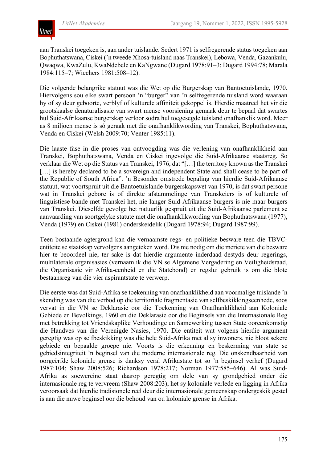

aan Transkei toegeken is, aan ander tuislande. Sedert 1971 is selfregerende status toegeken aan Bophuthatswana, Ciskei ('n tweede Xhosa-tuisland naas Transkei), Lebowa, Venda, Gazankulu, Qwaqwa, KwaZulu, KwaNdebele en KaNgwane (Dugard 1978:91–3; Dugard 1994:78; Marala 1984:115–7; Wiechers 1981:508–12).

Die volgende belangrike statuut was die Wet op die Burgerskap van Bantoetuislande, 1970. Hiervolgens sou elke swart persoon 'n "burger" van 'n selfregerende tuisland word waaraan hy of sy deur geboorte, verblyf of kulturele affiniteit gekoppel is. Hierdie maatreël het vir die grootskaalse denaturalisasie van swart mense voorsiening gemaak deur te bepaal dat swartes hul Suid-Afrikaanse burgerskap verloor sodra hul toegesegde tuisland onafhanklik word. Meer as 8 miljoen mense is só geraak met die onafhanklikwording van Transkei, Bophuthatswana, Venda en Ciskei (Welsh 2009:70; Venter 1985:11).

Die laaste fase in die proses van ontvoogding was die verlening van onafhanklikheid aan Transkei, Bophuthatswana, Venda en Ciskei ingevolge die Suid-Afrikaanse staatsreg. So verklaar die Wet op die Status van Transkei, 1976, dat "[…] the territory known as the Transkei [...] is hereby declared to be a sovereign and independent State and shall cease to be part of the Republic of South Africa". 'n Besonder omstrede bepaling van hierdie Suid-Afrikaanse statuut, wat voortspruit uit die Bantoetuislande-burgerskapswet van 1970, is dat swart persone wat in Transkei gebore is of direkte afstammelinge van Transkeiers is of kulturele of linguistiese bande met Transkei het, nie langer Suid-Afrikaanse burgers is nie maar burgers van Transkei. Dieselfde gevolge het natuurlik gespruit uit die Suid-Afrikaanse parlement se aanvaarding van soortgelyke statute met die onafhanklikwording van Bophuthatswana (1977), Venda (1979) en Ciskei (1981) onderskeidelik (Dugard 1978:94; Dugard 1987:99).

Teen bostaande agtergrond kan die vernaamste regs- en politieke besware teen die TBVCentiteite se staatskap vervolgens aangeteken word. Dis nie nodig om die meriete van die besware hier te beoordeel nie; ter sake is dat hierdie argumente inderdaad destyds deur regerings, multilaterale organisasies (vernaamlik die VN se Algemene Vergadering en Veiligheidsraad, die Organisasie vir Afrika-eenheid en die Statebond) en regslui gebruik is om die blote bestaansreg van die vier aspirantstate te verwerp.

Die eerste was dat Suid-Afrika se toekenning van onafhanklikheid aan voormalige tuislande 'n skending was van die verbod op die territoriale fragmentasie van selfbeskikkingseenhede, soos vervat in die VN se Deklarasie oor die Toekenning van Onafhanklikheid aan Koloniale Gebiede en Bevolkings, 1960 en die Deklarasie oor die Beginsels van die Internasionale Reg met betrekking tot Vriendskaplike Verhoudinge en Samewerking tussen State ooreenkomstig die Handves van die Verenigde Nasies, 1970. Die entiteit wat volgens hierdie argument geregtig was op selfbeskikking was die hele Suid-Afrika met al sy inwoners, nie bloot sekere gebiede en bepaalde groepe nie. Voorts is die erkenning en beskerming van state se gebiedsintegriteit 'n beginsel van die moderne internasionale reg. Die onskendbaarheid van oorgeërfde koloniale grense is danksy veral Afrikastate tot so 'n beginsel verhef (Dugard 1987:104; Shaw 2008:526; Richardson 1978:217; Norman 1977:585–646). Al was Suid-Afrika as soewereine staat daarop geregtig om dele van sy grondgebied onder die internasionale reg te vervreem (Shaw 2008:203), het sy koloniale verlede en ligging in Afrika veroorsaak dat hierdie tradisionele reël deur die internasionale gemeenskap ondergeskik gestel is aan die nuwe beginsel oor die behoud van ou koloniale grense in Afrika.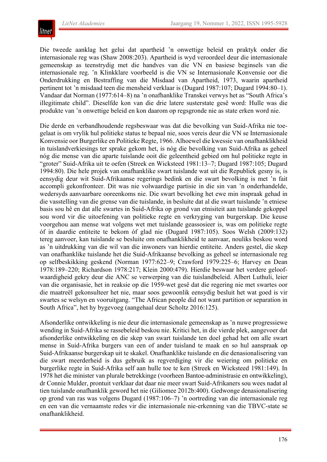

Die tweede aanklag het gelui dat apartheid 'n onwettige beleid en praktyk onder die internasionale reg was (Shaw 2008:203). Apartheid is wyd veroordeel deur die internasionale gemeenskap as teenstrydig met die handves van die VN en basiese beginsels van die internasionale reg. 'n Klinkklare voorbeeld is die VN se Internasionale Konvensie oor die Onderdrukking en Bestraffing van die Misdaad van Apartheid, 1973, waarin apartheid pertinent tot 'n misdaad teen die mensheid verklaar is (Dugard 1987:107; Dugard 1994:80–1). Vandaar dat Norman (1977:614–8) na 'n onafhanklike Transkei verwys het as "South Africa's illegitimate child". Dieselfde kon van die drie latere susterstate gesê word: Hulle was die produkte van 'n onwettige beleid en kon daarom op regsgronde nie as state erken word nie.

Die derde en verbandhoudende regsbeswaar was dat die bevolking van Suid-Afrika nie toegelaat is om vrylik hul politieke status te bepaal nie, soos vereis deur die VN se Internasionale Konvensie oor Burgerlike en Politieke Regte, 1966. Alhoewel die kwessie van onafhanklikheid in tuislandverkiesings ter sprake gekom het, is nóg die bevolking van Suid-Afrika as geheel nóg die mense van die aparte tuislande ooit die geleentheid gebied om hul politieke regte in "groter" Suid-Afrika uit te oefen (Streek en Wicksteed 1981:13–7; Dugard 1987:105; Dugard 1994:80). Die hele projek van onafhanklike swart tuislande wat uit die Republiek gesny is, is eensydig deur wit Suid-Afrikaanse regerings bedink en die swart bevolking is met 'n fait accompli gekonfronteer. Dit was nie volwaardige partisie in die sin van 'n onderhandelde, wedersyds aanvaarbare ooreenkoms nie. Die swart bevolking het ewe min inspraak gehad in die vasstelling van die grense van die tuislande, in besluite dat al die swart tuislande 'n etniese basis sou hê en dat alle swartes in Suid-Afrika op grond van etnisiteit aan tuislande gekoppel sou word vir die uitoefening van politieke regte en verkryging van burgerskap. Die keuse voorgehou aan mense wat volgens wet met tuislande geassosieer is, was om politieke regte óf in daardie entiteite te bekom óf glad nie (Dugard 1987:105). Soos Welsh (2009:132) tereg aanvoer, kan tuislande se besluite om onafhanklikheid te aanvaar, nouliks beskou word as 'n uitdrukking van die wil van die inwoners van hierdie entiteite. Anders gestel, die skep van onafhanklike tuislande het die Suid-Afrikaanse bevolking as geheel se internasionale reg op selfbeskikking geskend (Norman 1977:622–9; Crawford 1979:225–6; Harvey en Dean 1978:189–220; Richardson 1978:217; Klein 2000:479). Hierdie beswaar het verdere geloofwaardigheid gekry deur die ANC se verwerping van die tuislandbeleid. Albert Luthuli, leier van die organisasie, het in reaksie op die 1959-wet gesê dat die regering nie met swartes oor die maatreël gekonsulteer het nie, maar soos gewoonlik eensydig besluit het wat goed is vir swartes se welsyn en vooruitgang. "The African people did not want partition or separation in South Africa", het hy bygevoeg (aangehaal deur Scholtz 2016:125).

Afsonderlike ontwikkeling is nie deur die internasionale gemeenskap as 'n nuwe progressiewe wending in Suid-Afrika se rassebeleid beskou nie. Kritici het, in die vierde plek, aangevoer dat afsonderlike ontwikkeling en die skep van swart tuislande ten doel gehad het om alle swart mense in Suid-Afrika burgers van een of ander tuisland te maak en so hul aanspraak op Suid-Afrikaanse burgerskap uit te skakel. Onafhanklike tuislande en die denasionalisering van die swart meerderheid is dus gebruik as regverdiging vir die weiering om politieke en burgerlike regte in Suid-Afrika self aan hulle toe te ken (Streek en Wicksteed 1981:149). In 1978 het die minister van plurale betrekkinge (voorheen Bantoe-administrasie en ontwikkeling), dr Connie Mulder, prontuit verklaar dat daar nie meer swart Suid-Afrikaners sou wees nadat al tien tuislande onafhanklik geword het nie (Giliomee 2012b:400). Gedwonge denasionalisering op grond van ras was volgens Dugard (1987:106–7) 'n oortreding van die internasionale reg en een van die vernaamste redes vir die internasionale nie-erkenning van die TBVC-state se onafhanklikheid.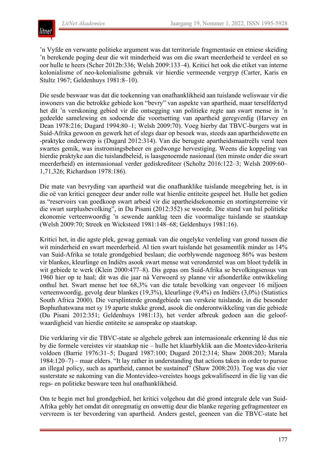

'n Vyfde en verwante politieke argument was dat territoriale fragmentasie en etniese skeiding 'n berekende poging deur die wit minderheid was om die swart meerderheid te verdeel en so oor hulle te heers (Scher 2012b:336; Welsh 2009:133–4). Kritici het ook die etiket van interne kolonialisme of neo-kolonialisme gebruik vir hierdie vermeende vergryp (Carter, Karis en Stultz 1967; Geldenhuys 1981:8–10).

Die sesde beswaar was dat die toekenning van onafhanklikheid aan tuislande weliswaar vir die inwoners van die betrokke gebiede kon "bevry" van aspekte van apartheid, maar terselfdertyd het dit 'n verskoning gebied vir die ontsegging van politieke regte aan swart mense in 'n gedeelde samelewing en sodoende die voortsetting van apartheid geregverdig (Harvey en Dean 1978:216; Dugard 1994:80–1; Welsh 2009:70). Voeg hierby dat TBVC-burgers wat in Suid-Afrika gewoon en gewerk het of slegs daar op besoek was, steeds aan apartheidswette en -praktyke onderwerp is (Dugard 2012:314). Van die berugste apartheidsmaatreëls veral teen swartes gemik, was instromingsbeheer en gedwonge hervestiging. Weens die koppeling van hierdie praktyke aan die tuislandbeleid, is laasgenoemde nasionaal (ten minste onder die swart meerderheid) en internasionaal verder gediskrediteer (Scholtz 2016:122–3; Welsh 2009:60– 1,71,326; Richardson 1978:186).

Die mate van bevryding van apartheid wat die onafhanklike tuislande meegebring het, is in die oë van kritici genegeer deur ander rolle wat hierdie entiteite gespeel het. Hulle het gedien as "reservoirs van goedkoop swart arbeid vir die apartheidsekonomie en stortingsterreine vir die swart surplusbevolking", in Du Pisani (2012:352) se woorde. Die stand van hul politieke ekonomie verteenwoordig 'n sewende aanklag teen die voormalige tuislande se staatskap (Welsh 2009:70; Streek en Wicksteed 1981:148–68; Geldenhuys 1981:16).

Kritici het, in die agste plek, gewag gemaak van die ongelyke verdeling van grond tussen die wit minderheid en swart meerderheid. Al tien swart tuislande het gesamentlik minder as 14% van Suid-Afrika se totale grondgebied beslaan; die oorblywende nagenoeg 86% was bestem vir blankes, kleurlinge en Indiërs asook swart mense wat veronderstel was om bloot tydelik in wit gebiede te werk (Klein 2000:477–8). Dis gepas om Suid-Afrika se bevolkingsensus van 1960 hier op te haal; dit was die jaar ná Verwoerd sy planne vir afsonderlike ontwikkeling onthul het. Swart mense het toe 68,3% van die totale bevolking van ongeveer 16 miljoen verteenwoordig, gevolg deur blankes (19,3%), kleurlinge (9,4%) en Indiërs (3,0%) (Statistics South Africa 2000). Die versplinterde grondgebiede van verskeie tuislande, in die besonder Bophuthatswana met sy 19 aparte stukke grond, asook die onderontwikkeling van die gebiede (Du Pisani 2012:351; Geldenhuys 1981:13), het verder afbreuk gedoen aan die geloofwaardigheid van hierdie entiteite se aansprake op staatskap.

Die verklaring vir die TBVC-state se algehele gebrek aan internasionale erkenning lê dus nie by die formele vereistes vir staatskap nie – hulle het klaarblyklik aan die Montevideo-kriteria voldoen (Barrie 1976:31–5; Dugard 1987:100; Dugard 2012:314; Shaw 2008:203; Marala 1984:120–7) – maar elders. "It lay rather in understanding that actions taken in order to pursue an illegal policy, such as apartheid, cannot be sustained" (Shaw 2008:203). Tog was die vier susterstate se nakoming van die Montevideo-vereistes hoogs gekwalifiseerd in die lig van die regs- en politieke besware teen hul onafhanklikheid.

Om te begin met hul grondgebied, het kritici volgehou dat dié grond integrale dele van Suid-Afrika gebly het omdat dit onregmatig en onwettig deur die blanke regering gefragmenteer en vervreem is ter bevordering van apartheid. Anders gestel, geeneen van die TBVC-state het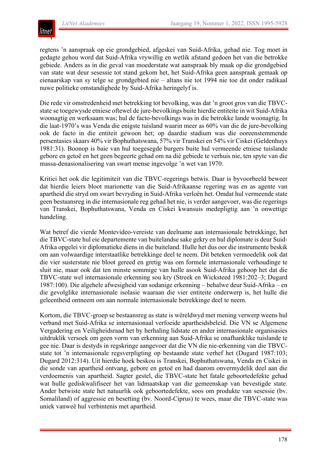

regtens 'n aanspraak op eie grondgebied, afgeskei van Suid-Afrika, gehad nie. Tog moet in gedagte gehou word dat Suid-Afrika vrywillig en wetlik afstand gedoen het van die betrokke gebiede. Anders as in die geval van moederstate wat aanspraak bly maak op die grondgebied van state wat deur sesessie tot stand gekom het, het Suid-Afrika geen aanspraak gemaak op eienaarskap van sy telge se grondgebied nie – altans nie tot 1994 nie toe dit onder radikaal nuwe politieke omstandighede by Suid-Afrika heringelyf is.

Die rede vir omstredenheid met betrekking tot bevolking, was dat 'n groot gros van die TBVCstate se toegewysde etniese oftewel de jure-bevolkings buite hierdie entiteite in wit Suid-Afrika woonagtig en werksaam was; hul de facto-bevolkings was in die betrokke lande woonagtig. In die laat-1970's was Venda die enigste tuisland waarin meer as 60% van die de jure-bevolking ook de facto in die entiteit gewoon het; op daardie stadium was die ooreenstemmende persentasies skaars 40% vir Bophuthatswana, 57% vir Transkei en 54% vir Ciskei (Geldenhuys 1981:31). Boonop is baie van hul toegesegde burgers buite hul vermeende etniese tuislande gebore en getoë en het geen begeerte gehad om na dié gebiede te verhuis nie, ten spyte van die massa-denasionalisering van swart mense ingevolge 'n wet van 1970.

Kritici het ook die legitimiteit van die TBVC-regerings betwis. Daar is byvoorbeeld beweer dat hierdie leiers bloot marionette van die Suid-Afrikaanse regering was en as agente van apartheid die stryd om swart bevryding in Suid-Afrika verloën het. Omdat hul vermeende state geen bestaansreg in die internasionale reg gehad het nie, is verder aangevoer, was die regerings van Transkei, Bophuthatswana, Venda en Ciskei kwansuis medepligtig aan 'n onwettige handeling.

Wat betref die vierde Montevideo-vereiste van deelname aan internasionale betrekkinge, het die TBVC-state hul eie departemente van buitelandse sake gekry en hul diplomate is deur Suid-Afrika opgelei vir diplomatieke diens in die buiteland. Hulle het dus oor die instrumente beskik om aan volwaardige interstaatlike betrekkinge deel te neem. Dit beteken vermoedelik ook dat die vier susterstate nie bloot gereed en gretig was om formele internasionale verhoudinge te sluit nie, maar ook dat ten minste sommige van hulle asook Suid-Afrika gehoop het dat die TBVC-state wel internasionale erkenning sou kry (Streek en Wicksteed 1981:202–3; Dugard 1987:100). Die algehele afwesigheid van sodanige erkenning – behalwe deur Suid-Afrika – en die gevolglike internasionale isolasie waaraan die vier entiteite onderwerp is, het hulle die geleentheid ontneem om aan normale internasionale betrekkinge deel te neem.

Kortom, die TBVC-groep se bestaansreg as state is wêreldwyd met mening verwerp weens hul verband met Suid-Afrika se internasionaal verfoeide apartheidsbeleid. Die VN se Algemene Vergadering en Veiligheidsraad het by herhaling lidstate en ander internasionale organisasies uitdruklik versoek om geen vorm van erkenning aan Suid-Afrika se onafhanklike tuislande te gee nie. Daar is destyds in regskringe aangevoer dat die VN die nie-erkenning van die TBVCstate tot 'n internasionale regsverpligting op bestaande state verhef het (Dugard 1987:103; Dugard 2012:314). Uit hierdie hoek beskou is Transkei, Bophuthatswana, Venda en Ciskei in die sonde van apartheid ontvang, gebore en getoë en had daarom onvermydelik deel aan die verdoemenis van apartheid. Sagter gestel, die TBVC-state het fatale geboortedefekte gehad wat hulle gediskwalifiseer het van lidmaatskap van die gemeenskap van bevestigde state. Ander betwiste state het natuurlik ook geboortedefekte, soos om produkte van sesessie (bv. Somaliland) of aggressie en besetting (bv. Noord-Ciprus) te wees, maar die TBVC-state was uniek vanweë hul verbintenis met apartheid.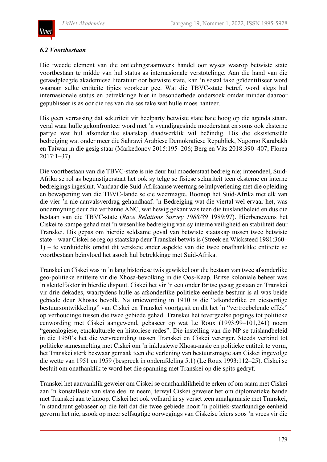

#### *6.2 Voortbestaan*

Die tweede element van die ontledingsraamwerk handel oor wyses waarop betwiste state voortbestaan te midde van hul status as internasionale verstotelinge. Aan die hand van die geraadpleegde akademiese literatuur oor betwiste state, kan 'n sestal take geïdentifiseer word waaraan sulke entiteite tipies voorkeur gee. Wat die TBVC-state betref, word slegs hul internasionale status en betrekkinge hier in besonderhede ondersoek omdat minder daaroor gepubliseer is as oor die res van die ses take wat hulle moes hanteer.

Dis geen verrassing dat sekuriteit vir heelparty betwiste state baie hoog op die agenda staan, veral waar hulle gekonfronteer word met 'n vyandiggesinde moederstaat en soms ook eksterne partye wat hul afsonderlike staatskap daadwerklik wil beëindig. Dis die eksistensiële bedreiging wat onder meer die Sahrawi Arabiese Demokratiese Republiek, Nagorno Karabakh en Taiwan in die gesig staar (Markedonov 2015:195–206; Berg en Vits 2018:390–407; Florea 2017:1–37).

Die voortbestaan van die TBVC-state is nie deur hul moederstaat bedreig nie; inteendeel, Suid-Afrika se rol as begunstigerstaat het ook sy telge se fisiese sekuriteit teen eksterne en interne bedreigings ingesluit. Vandaar die Suid-Afrikaanse weermag se hulpverlening met die opleiding en bewapening van die TBVC-lande se eie weermagte. Boonop het Suid-Afrika met elk van die vier 'n nie-aanvalsverdrag gehandhaaf. 'n Bedreiging wat die viertal wel ervaar het, was ondermyning deur die verbanne ANC, wat hewig gekant was teen die tuislandbeleid en dus die bestaan van die TBVC-state (*Race Relations Survey 1988/89* 1989:97). Hierbenewens het Ciskei te kampe gehad met 'n wesenlike bedreiging van sy interne veiligheid en stabiliteit deur Transkei. Dis gepas om hierdie seldsame geval van betwiste staatskap tussen twee betwiste state – waar Ciskei se reg op staatskap deur Transkei betwis is (Streek en Wicksteed 1981:360– 1) – te verduidelik omdat dit verskeie ander aspekte van die twee onafhanklike entiteite se voortbestaan beïnvloed het asook hul betrekkinge met Suid-Afrika.

Transkei en Ciskei was in 'n lang historiese twis gewikkel oor die bestaan van twee afsonderlike geo-politieke entiteite vir die Xhosa-bevolking in die Oos-Kaap. Britse koloniale beheer was 'n sleutelfaktor in hierdie dispuut. Ciskei het vir 'n eeu onder Britse gesag gestaan en Transkei vir drie dekades, waartydens hulle as afsonderlike politieke eenhede bestuur is al was beide gebiede deur Xhosas bevolk. Na uniewording in 1910 is die "afsonderlike en eiesoortige bestuursontwikkeling" van Ciskei en Transkei voortgesit en dit het 'n "vertroebelende effek" op verhoudinge tussen die twee gebiede gehad. Transkei het tevergeefse pogings tot politieke eenwording met Ciskei aangewend, gebaseer op wat Le Roux (1993:99–101,241) noem "genealogiese, etnokulturele en historiese redes". Die instelling van die NP se tuislandbeleid in die 1950's het die vervreemding tussen Transkei en Ciskei vererger. Steeds verbind tot politieke samesmelting met Ciskei om 'n inklusiewe Xhosa-nasie en politieke entiteit te vorm, het Transkei sterk beswaar gemaak teen die verlening van bestuursmagte aan Ciskei ingevolge die wette van 1951 en 1959 (bespreek in onderafdeling 5.1) (Le Roux 1993:112–25). Ciskei se besluit om onafhanklik te word het die spanning met Transkei op die spits gedryf.

Transkei het aanvanklik geweier om Ciskei se onafhanklikheid te erken of om saam met Ciskei aan 'n konstellasie van state deel te neem, terwyl Ciskei geweier het om diplomatieke bande met Transkei aan te knoop. Ciskei het ook volhard in sy verset teen amalgamasie met Transkei, 'n standpunt gebaseer op die feit dat die twee gebiede nooit 'n politiek-staatkundige eenheid gevorm het nie, asook op meer selfsugtige oorwegings van Ciskeise leiers soos 'n vrees vir die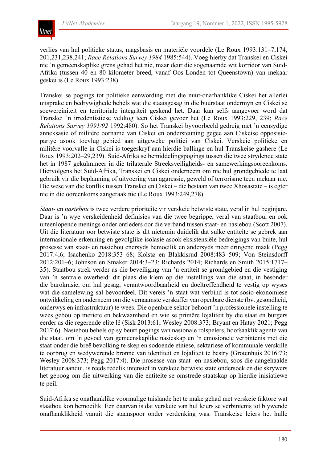

verlies van hul politieke status, magsbasis en materiële voordele (Le Roux 1993:131–7,174, 201,231,238,241; *Race Relations Survey 1984* 1985:544). Voeg hierby dat Transkei en Ciskei nie 'n gemeenskaplike grens gehad het nie, maar deur die sogenaamde wit korridor van Suid-Afrika (tussen 40 en 80 kilometer breed, vanaf Oos-Londen tot Queenstown) van mekaar geskei is (Le Roux 1993:238).

Transkei se pogings tot politieke eenwording met die nuut-onafhanklike Ciskei het allerlei uitsprake en bedrywighede behels wat die staatsgesag in die buurstaat ondermyn en Ciskei se soewereiniteit en territoriale integriteit geskend het. Daar kan selfs aangevoer word dat Transkei 'n irredentistiese veldtog teen Ciskei gevoer het (Le Roux 1993:229, 239; *Race Relations Survey 1991/92* 1992:480). So het Transkei byvoorbeeld gedreig met 'n eensydige anneksasie of militêre oorname van Ciskei en ondersteuning gegee aan Ciskeise opposisiepartye asook toevlug gebied aan uitgeweke politici van Ciskei. Verskeie politieke en militêre voorvalle in Ciskei is toegeskryf aan hierdie ballinge en hul Transkeise gashere (Le Roux 1993:202–29,239). Suid-Afrika se bemiddelingspogings tussen die twee strydende state het in 1987 gekulmineer in die trilaterale Streeksveiligheids- en samewerkingsooreenkoms. Hiervolgens het Suid-Afrika, Transkei en Ciskei onderneem om nie hul grondgebiede te laat gebruik vir die beplanning of uitvoering van aggressie, geweld of terrorisme teen mekaar nie. Die wese van die konflik tussen Transkei en Ciskei – die bestaan van twee Xhosastate – is egter nie in die ooreenkoms aangeraak nie (Le Roux 1993:249,278).

*Staat-* en *nasiebou* is twee verdere prioriteite vir verskeie betwiste state, veral in hul beginjare. Daar is 'n wye verskeidenheid definisies van die twee begrippe, veral van staatbou, en ook uiteenlopende menings onder ontleders oor die verband tussen staat- en nasiebou (Scott 2007). Uit die literatuur oor betwiste state is dit nietemin duidelik dat sulke entiteite se gebrek aan internasionale erkenning en gevolglike isolasie asook eksistensiële bedreigings van buite, hul prosesse van staat- en nasiebou enersyds bemoeilik en andersyds meer dringend maak (Pegg 2017:4,6; Isachenko 2018:353–68; Kolstø en Blakkisrud 2008:483–509; Von Steinsdorff 2012:201–6; Johnson en Smaker 2014:3–23; Richards 2014; Richards en Smith 2015:1717– 35). Staatbou strek verder as die beveiliging van 'n entiteit se grondgebied en die vestiging van 'n sentrale owerheid: dit plaas die klem op die instellings van die staat, in besonder die burokrasie, om hul gesag, verantwoordbaarheid en doeltreffendheid te vestig op wyses wat die samelewing sal bevoordeel. Dit vereis 'n staat wat verbind is tot sosio-ekonomiese ontwikkeling en onderneem om die vernaamste verskaffer van openbare dienste (bv. gesondheid, onderwys en infrastruktuur) te wees. Die openbare sektor behoort 'n professionele instelling te wees gebou op meriete en bekwaamheid en wie se primêre lojaliteit by die staat en burgers eerder as die regerende elite lê (Sisk 2013:61; Wesley 2008:373; Bryant en Hatay 2021; Pegg 2017:6). Nasiebou behels op sy beurt pogings van nasionale rolspelers, hoofsaaklik agente van die staat, om 'n gevoel van gemeenskaplike nasieskap en 'n emosionele verbintenis met die staat onder die breë bevolking te skep en sodoende etniese, sektariese of kommunale verskille te oorbrug en wedywerende bronne van identiteit en lojaliteit te bestry (Grotenhuis 2016:73; Wesley 2008:373; Pegg 2017:4). Die prosesse van staat- en nasiebou, soos die aangehaalde literatuur aandui, is reeds redelik intensief in verskeie betwiste state ondersoek en die skrywers het gepoog om die uitwerking van die entiteite se omstrede staatskap op hierdie inisiatiewe te peil.

Suid-Afrika se onafhanklike voormalige tuislande het te make gehad met verskeie faktore wat staatbou kon bemoeilik. Een daarvan is dat verskeie van hul leiers se verbintenis tot blywende onafhanklikheid vanuit die staanspoor onder verdenking was. Transkeise leiers het hulle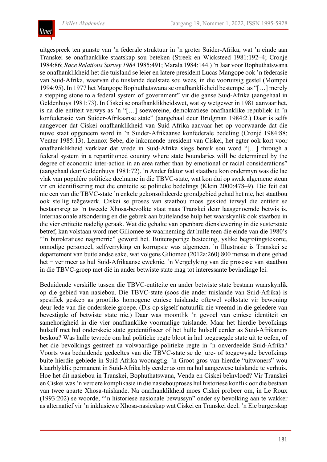

uitgespreek ten gunste van 'n federale struktuur in 'n groter Suider-Afrika, wat 'n einde aan Transkei se onafhanklike staatskap sou beteken (Streek en Wicksteed 1981:192–4; Cronjé 1984:86; *Race Relations Survey 1984* 1985:491; Marala 1984:144.) 'n Jaar voor Bophuthatswana se onafhanklikheid het die tuisland se leier en latere president Lucas Mangope ook 'n federasie van Suid-Afrika, waarvan die tuislande deelstate sou wees, in die vooruitsig gestel (Mompei 1994:95). In 1977 het Mangope Bophuthatswana se onafhanklikheid bestempel as "[…] merely a stepping stone to a federal system of government" vir die ganse Suid-Afrika (aangehaal in Geldenhuys 1981:73). In Ciskei se onafhanklikheidswet, wat sy wetgewer in 1981 aanvaar het, is na die entiteit verwys as 'n "[…] soewereine, demokratiese onafhanklike republiek in 'n konfederasie van Suider-Afrikaanse state" (aangehaal deur Bridgman 1984:2.) Daar is selfs aangevoer dat Ciskei onafhanklikheid van Suid-Afrika aanvaar het op voorwaarde dat die nuwe staat opgeneem word in 'n Suider-Afrikaanse konfederale bedeling (Cronjé 1984:88; Venter 1985:13). Lennox Sebe, die inkomende president van Ciskei, het egter ook kort voor onafhanklikheid verklaar dat vrede in Suid-Afrika slegs bereik sou word "[…] through a federal system in a repartitioned country where state boundaries will be determined by the degree of economic inter-action in an area rather than by emotional or racial considerations" (aangehaal deur Geldenhuys 1981:72). 'n Ander faktor wat staatbou kon ondermyn was die lae vlak van populêre politieke deelname in die TBVC-state, wat kon dui op swak algemene steun vir en identifisering met die entiteite se politieke bedelings (Klein 2000:478–9). Die feit dat nie een van die TBVC-state 'n enkele gekonsolideerde grondgebied gehad het nie, het staatbou ook stellig teëgewerk. Ciskei se proses van staatbou moes geskied terwyl die entiteit se bestaansreg as 'n tweede Xhosa-bevolkte staat naas Transkei deur laasgenoemde betwis is. Internasionale afsondering en die gebrek aan buitelandse hulp het waarskynlik ook staatbou in die vier entiteite nadelig geraak. Wat die gehalte van openbare dienslewering in die susterstate betref, kan volstaan word met Giliomee se waarneming dat hulle teen die einde van die 1980's "'n burokratiese nagmerrie" geword het. Buitensporige besteding, yslike begrotingstekorte, onnodige personeel, selfverryking en korrupsie was algemeen. 'n Illustrasie is Transkei se departement van buitelandse sake, wat volgens Giliomee (2012a:260) 800 mense in diens gehad het − ver meer as hul Suid-Afrikaanse eweknie. 'n Vergelyking van die prosesse van staatbou in die TBVC-groep met dié in ander betwiste state mag tot interessante bevindinge lei.

Beduidende verskille tussen die TBVC-entiteite en ander betwiste state bestaan waarskynlik op die gebied van nasiebou. Die TBVC-state (soos die ander tuislande van Suid-Afrika) is spesifiek geskep as grootliks homogene etniese tuislande oftewel volkstate vir bewoning deur lede van die onderskeie groepe. (Dis op sigself natuurlik nie vreemd in die geledere van bevestigde of betwiste state nie.) Daar was moontlik 'n gevoel van etniese identiteit en samehorigheid in die vier onafhanklike voormalige tuislande. Maar het hierdie bevolkings hulself met hul onderskeie state geïdentifiseer of het hulle hulself eerder as Suid-Afrikaners beskou? Was hulle tevrede om hul politieke regte bloot in hul toegesegde state uit te oefen, of het die bevolkings gestreef na volwaardige politieke regte in 'n onverdeelde Suid-Afrika? Voorts was beduidende gedeeltes van die TBVC-state se de jure- of toegewysde bevolkings buite hierdie gebiede in Suid-Afrika woonagtig. 'n Groot gros van hierdie "uitwoners" wou klaarblyklik permanent in Suid-Afrika bly eerder as om na hul aangewese tuislande te verhuis. Hoe het dit nasiebou in Transkei, Bophuthatswana, Venda en Ciskei beïnvloed? Vir Transkei en Ciskei was'n verdere komplikasie in die nasiebouproses hul historiese konflik oor die bestaan van twee aparte Xhosa-tuislande. Na onafhanklikheid moes Ciskei probeer om, in Le Roux (1993:202) se woorde, "'n historiese nasionale bewussyn" onder sy bevolking aan te wakker as alternatief vir 'n inklusiewe Xhosa-nasieskap wat Ciskei en Transkei deel. 'n Eie burgerskap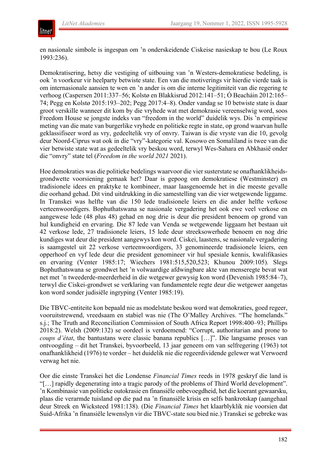

en nasionale simbole is ingespan om 'n onderskeidende Ciskeise nasieskap te bou (Le Roux 1993:236).

Demokratisering, hetsy die vestiging of uitbouing van 'n Westers-demokratiese bedeling, is ook 'n voorkeur vir heelparty betwiste state. Een van die motiverings vir hierdie vierde taak is om internasionale aansien te wen en 'n ander is om die interne legitimiteit van die regering te verhoog (Caspersen 2011:337–56; Kolstø en Blakkisrud 2012:141–51; Ó Beacháin 2012:165– 74; Pegg en Kolstø 2015:193–202; Pegg 2017:4–8). Onder vandag se 10 betwiste state is daar groot verskille wanneer dit kom by die vryhede wat met demokrasie vereenselwig word, soos Freedom House se jongste indeks van "freedom in the world" duidelik wys. Dis 'n empiriese meting van die mate van burgerlike vryhede en politieke regte in state, op grond waarvan hulle geklassifiseer word as vry, gedeeltelik vry of onvry. Taiwan is die vryste van die 10, gevolg deur Noord-Ciprus wat ook in die "vry"-kategorie val. Kosowo en Somaliland is twee van die vier betwiste state wat as gedeeltelik vry beskou word, terwyl Wes-Sahara en Abkhasië onder die "onvry" state tel (*Freedom in the world 2021* 2021).

Hoe demokraties was die politieke bedelings waarvoor die vier susterstate se onafhanklikheidsgrondwette voorsiening gemaak het? Daar is gepoog om demokratiese (Westminster) en tradisionele idees en praktyke te kombineer, maar laasgenoemde het in die meeste gevalle die oorhand gehad. Dit vind uitdrukking in die samestelling van die vier wetgewende liggame. In Transkei was helfte van die 150 lede tradisionele leiers en die ander helfte verkose verteenwoordigers. Bophuthatswana se nasionale vergadering het ook ewe veel verkose en aangewese lede (48 plus 48) gehad en nog drie is deur die president benoem op grond van hul kundigheid en ervaring. Die 87 lede van Venda se wetgewende liggaam het bestaan uit 42 verkose lede, 27 tradisionele leiers, 15 lede deur streeksowerhede benoem en nog drie kundiges wat deur die president aangewys kon word. Ciskei, laastens, se nasionale vergadering is saamgestel uit 22 verkose verteenwoordigers, 33 genomineerde tradisionele leiers, een opperhoof en vyf lede deur die president genomineer vir hul spesiale kennis, kwalifikasies en ervaring (Venter 1985:17; Wiechers 1981:515,520,523; Khunou 2009:105). Slegs Bophuthatswana se grondwet het 'n volwaardige afdwingbare akte van menseregte bevat wat net met 'n tweederde-meerderheid in die wetgewer gewysig kon word (Devenish 1985:84–7), terwyl die Ciskei-grondwet se verklaring van fundamentele regte deur die wetgewer aangetas kon word sonder judisiële ingryping (Venter 1985:19).

Die TBVC-entiteite kon bepaald nie as modelstate beskou word wat demokraties, goed regeer, vooruitstrewend, vreedsaam en stabiel was nie (The O'Malley Archives. "The homelands." s.j.; The Truth and Reconciliation Commission of South Africa Report 1998:400–93; Phillips 2018:2). Welsh (2009:132) se oordeel is verdoemend: "Corrupt, authoritarian and prone to *coups d'état*, the bantustans were classic banana republics […]". Die langsame proses van ontvoogding – dit het Transkei, byvoorbeeld, 13 jaar geneem om van selfregering (1963) tot onafhanklikheid (1976) te vorder – het duidelik nie die regeerdividende gelewer wat Verwoerd verwag het nie.

Oor die einste Transkei het die Londense *Financial Times* reeds in 1978 geskryf die land is "[…] rapidly degenerating into a tragic parody of the problems of Third World development". 'n Kombinasie van politieke outokrasie en finansiële onbevoegdheid, het die koerant gewaarsku, plaas die verarmde tuisland op die pad na 'n finansiële krisis en selfs bankrotskap (aangehaal deur Streek en Wicksteed 1981:138). (Die *Financial Times* het klaarblyklik nie voorsien dat Suid-Afrika 'n finansiële lewenslyn vir die TBVC-state sou bied nie.) Transkei se gebreke was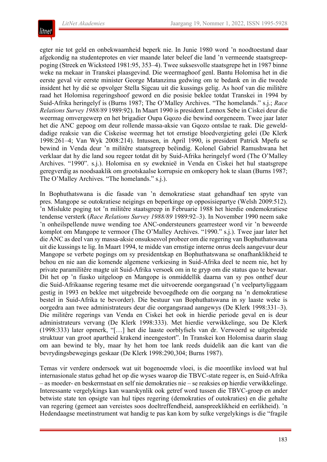

egter nie tot geld en onbekwaamheid beperk nie. In Junie 1980 word 'n noodtoestand daar afgekondig na studenteprotes en vier maande later beleef die land 'n vermeende staatsgreeppoging (Streek en Wicksteed 1981:95, 353–4). Twee suksesvolle staatsgrepe het in 1987 binne weke na mekaar in Transkei plaasgevind. Die weermaghoof genl. Bantu Holomisa het in die eerste geval vir eerste minister George Matanzima gedwing om te bedank en in die tweede insident het hy dié se opvolger Stella Sigcau uit die kussings gelig. As hoof van die militêre raad het Holomisa regeringshoof geword en die posisie beklee totdat Transkei in 1994 by Suid-Afrika heringelyf is (Burns 1987; The O'Malley Archives. "The homelands." s.j.; *Race Relations Survey 1988/89* 1989:92). In Maart 1990 is president Lennox Sebe in Ciskei deur die weermag omvergewerp en het brigadier Oupa Gqozo die bewind oorgeneem. Twee jaar later het die ANC gepoog om deur rollende massa-aksie van Gqozo ontslae te raak. Die gewelddadige reaksie van die Ciskeise weermag het tot ernstige bloedvergieting gelei (De Klerk 1998:261–4; Van Wyk 2008:214). Intussen, in April 1990, is president Patrick Mpefu se bewind in Venda deur 'n militêre staatsgreep beëindig. Kolonel Gabriel Ramushwana het verklaar dat hy die land sou regeer totdat dit by Suid-Afrika heringelyf word (The O'Malley Archives. "1990". s.j.). Holomisa en sy eweknieë in Venda en Ciskei het hul staatsgrepe geregverdig as noodsaaklik om grootskaalse korrupsie en omkopery hok te slaan (Burns 1987; The O'Malley Archives. "The homelands." s.j.).

In Bophuthatswana is die fasade van 'n demokratiese staat gehandhaaf ten spyte van pres. Mangope se outokratiese neigings en beperkinge op opposisiepartye (Welsh 2009:512). 'n Mislukte poging tot 'n militêre staatsgreep in Februarie 1988 het hierdie ondemokratiese tendense versterk (*Race Relations Survey 1988/89* 1989:92–3). In November 1990 neem sake 'n onheilspellende nuwe wending toe ANC-ondersteuners gearresteer word vir 'n beweerde komplot om Mangope te vermoor (The O'Malley Archives. "1990." s.j.). Twee jaar later het die ANC as deel van sy massa-aksie onsuksesvol probeer om die regering van Bophuthatswana uit die kussings te lig. In Maart 1994, te midde van ernstige interne onrus deels aangevuur deur Mangope se verbete pogings om sy presidentskap en Bophuthatswana se onafhanklikheid te behou en nie aan die komende algemene verkiesing in Suid-Afrika deel te neem nie, het hy private paramilitêre magte uit Suid-Afrika versoek om in te gryp om die status quo te bewaar. Dit het op 'n fiasko uitgeloop en Mangope is onmiddellik daarna van sy pos onthef deur die Suid-Afrikaanse regering tesame met die uitvoerende oorgangsraad ('n veelpartyliggaam gestig in 1993 en beklee met uitgebreide bevoegdhede om die oorgang na 'n demokratiese bestel in Suid-Afrika te bevorder). Die bestuur van Bophuthatswana in sy laaste weke is oorgedra aan twee administrateurs deur die oorgangsraad aangewys (De Klerk 1998:331–3). Die militêre regerings van Venda en Ciskei het ook in hierdie periode geval en is deur administrateurs vervang (De Klerk 1998:333). Met hierdie verwikkelinge, sou De Klerk (1998:333) later opmerk, "[…] het die laaste oorblyfsels van dr. Verwoerd se uitgebreide struktuur van groot apartheid krakend ineengestort". In Transkei kon Holomisa daarin slaag om aan bewind te bly, maar hy het hom toe lank reeds duidelik aan die kant van die bevrydingsbewegings geskaar (De Klerk 1998:290,304; Burns 1987).

Temas vir verdere ondersoek wat uit bogenoemde vloei, is die moontlike invloed wat hul internasionale status gehad het op die wyses waarop die TBVC-state regeer is, en Suid-Afrika – as moeder- en beskermstaat en self nie demokraties nie – se reaksies op hierdie verwikkelinge. Interessante vergelykings kan waarskynlik ook getref word tussen die TBVC-groep en ander betwiste state ten opsigte van hul tipes regering (demokraties of outokraties) en die gehalte van regering (gemeet aan vereistes soos doeltreffendheid, aanspreeklikheid en eerlikheid). 'n Hedendaagse meetinstrument wat handig te pas kan kom by sulke vergelykings is die "fragile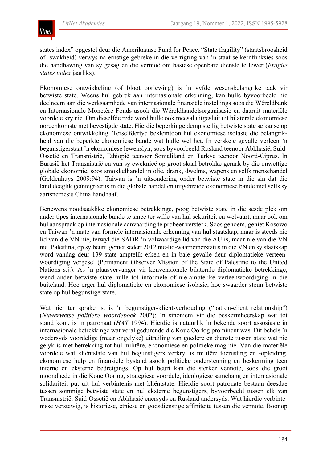

states index" opgestel deur die Amerikaanse Fund for Peace. "State fragility" (staatsbroosheid of -swakheid) verwys na ernstige gebreke in die verrigting van 'n staat se kernfunksies soos die handhawing van sy gesag en die vermoë om basiese openbare dienste te lewer (*Fragile states index* jaarliks).

Ekonomiese ontwikkeling (of bloot oorlewing) is 'n vyfde wesensbelangrike taak vir betwiste state. Weens hul gebrek aan internasionale erkenning, kan hulle byvoorbeeld nie deelneem aan die werksaamhede van internasionale finansiële instellings soos die Wêreldbank en Internasionale Monetêre Fonds asook die Wêreldhandelsorganisasie en daaruit materiële voordele kry nie. Om dieselfde rede word hulle ook meesal uitgesluit uit bilaterale ekonomiese ooreenkomste met bevestigde state. Hierdie beperkinge demp stellig betwiste state se kanse op ekonomiese ontwikkeling. Terselfdertyd beklemtoon hul ekonomiese isolasie die belangrikheid van die beperkte ekonomiese bande wat hulle wel het. In verskeie gevalle verleen 'n begunstigerstaat 'n ekonomiese lewenslyn, soos byvoorbeeld Rusland teenoor Abkhasië, Suid-Ossetië en Transnistrië, Ethiopië teenoor Somaliland en Turkye teenoor Noord-Ciprus. In Eurasië het Transnistrië en van sy eweknieë op groot skaal betrokke geraak by die onwettige globale ekonomie, soos smokkelhandel in olie, drank, dwelms, wapens en selfs mensehandel (Geldenhuys 2009:94). Taiwan is 'n uitsondering onder betwiste state in die sin dat die land deeglik geïntegreer is in die globale handel en uitgebreide ekonomiese bande met selfs sy aartsnemesis China handhaaf.

Benewens noodsaaklike ekonomiese betrekkinge, poog betwiste state in die sesde plek om ander tipes internasionale bande te smee ter wille van hul sekuriteit en welvaart, maar ook om hul aanspraak op internasionale aanvaarding te probeer versterk. Soos genoem, geniet Kosowo en Taiwan 'n mate van formele internasionale erkenning van hul staatskap, maar is steeds nie lid van die VN nie, terwyl die SADR 'n volwaardige lid van die AU is, maar nie van die VN nie. Palestina, op sy beurt, geniet sedert 2012 nie-lid-waarnemerstatus in die VN en sy staatskap word vandag deur 139 state amptelik erken en in baie gevalle deur diplomatieke verteenwoordiging vergesel (Permanent Observer Mission of the State of Palestine to the United Nations s.j.). As 'n plaasvervanger vir konvensionele bilaterale diplomatieke betrekkinge, wend ander betwiste state hulle tot informele of nie-amptelike verteenwoordiging in die buiteland. Hoe erger hul diplomatieke en ekonomiese isolasie, hoe swaarder steun betwiste state op hul begunstigerstate.

Wat hier ter sprake is, is 'n begunstiger-kliënt-verhouding ("patron-client relationship") (*Nuwerwetse politieke woordeboek* 2002); 'n sinoniem vir die beskermheerskap wat tot stand kom, is 'n patronaat (*HAT* 1994). Hierdie is natuurlik 'n bekende soort assosiasie in internasionale betrekkinge wat veral gedurende die Koue Oorlog prominent was. Dit behels 'n wedersyds voordelige (maar ongelyke) uitruiling van goedere en dienste tussen state wat nie gelyk is met betrekking tot hul militêre, ekonomiese en politieke mag nie. Van die materiële voordele wat kliëntstate van hul begunstigers verkry, is militêre toerusting en -opleiding, ekonomiese hulp en finansiële bystand asook politieke ondersteuning en beskerming teen interne en eksterne bedreigings. Op hul beurt kan die sterker vennote, soos die groot moondhede in die Koue Oorlog, strategiese voordele, ideologiese samehang en internasionale solidariteit put uit hul verbintenis met kliëntstate. Hierdie soort patronate bestaan deesdae tussen sommige betwiste state en hul eksterne begunstigers, byvoorbeeld tussen elk van Transnistrië, Suid-Ossetië en Abkhasië enersyds en Rusland andersyds. Wat hierdie verbintenisse verstewig, is historiese, etniese en godsdienstige affiniteite tussen die vennote. Boonop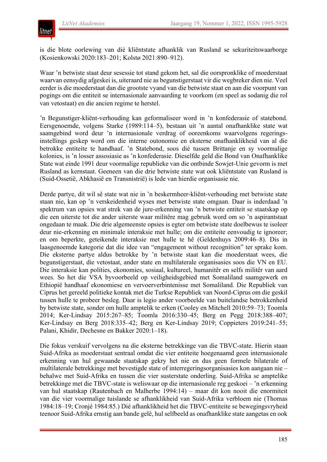

is die blote oorlewing van dié kliëntstate afhanklik van Rusland se sekuriteitswaarborge (Kosienkowski 2020:183–201; Kolstø 2021:890–912).

Waar 'n betwiste staat deur sesessie tot stand gekom het, sal die oorspronklike of moederstaat waarvan eensydig afgeskei is, uiteraard nie as begunstigerstaat vir die wegbreker dien nie. Veel eerder is die moederstaat dan die grootste vyand van die betwiste staat en aan die voorpunt van pogings om die entiteit se internasionale aanvaarding te voorkom (en speel as sodanig die rol van vetostaat) en die ancien regime te herstel.

'n Begunstiger-kliënt-verhouding kan geformaliseer word in 'n konfederasie of statebond. Eersgenoemde, volgens Starke (1989:114–5), bestaan uit 'n aantal onafhanklike state wat saamgebind word deur 'n internasionale verdrag of ooreenkoms waarvolgens regeringsinstellings geskep word om die interne outonomie en eksterne onafhanklikheid van al die betrokke entiteite te handhaaf. 'n Statebond, soos dié tussen Brittanje en sy voormalige kolonies, is 'n losser assosiasie as 'n konfederasie. Dieselfde geld die Bond van Onafhanklike State wat einde 1991 deur voormalige republieke van die ontbinde Sowjet-Unie gevorm is met Rusland as kernstaat. Geeneen van die drie betwiste state wat ook kliëntstate van Rusland is (Suid-Ossetië, Abkhasië en Transnistrië) is lede van hierdie organisasie nie.

Derde partye, dit wil sê state wat nie in 'n beskermheer-kliënt-verhouding met betwiste state staan nie, kan op 'n verskeidenheid wyses met betwiste state omgaan. Daar is inderdaad 'n spektrum van opsies wat strek van de jure-erkenning van 'n betwiste entiteit se staatskap op die een uiterste tot die ander uiterste waar militêre mag gebruik word om so 'n aspirantstaat ongedaan te maak. Die drie algemeenste opsies is egter om betwiste state doelbewus te isoleer deur nie-erkenning en minimale interaksie met hulle; om die entiteite eenvoudig te ignoreer; en om beperkte, geteikende interaksie met hulle te hê (Geldenhuys 2009:46–8). Dis in laasgenoemde kategorie dat die idee van "engagement without recognition" ter sprake kom. Die eksterne partye aldus betrokke by 'n betwiste staat kan die moederstaat wees, die begunstigerstaat, die vetostaat, ander state en multilaterale organisasies soos die VN en EU. Die interaksie kan polities, ekonomies, sosiaal, kultureel, humanitêr en selfs militêr van aard wees. So het die VSA byvoorbeeld op veiligheidsgebied met Somaliland saamgewerk en Ethiopië handhaaf ekonomiese en vervoerverbintenisse met Somaliland. Die Republiek van Ciprus het gereeld politieke kontak met die Turkse Republiek van Noord-Ciprus om die geskil tussen hulle te probeer besleg. Daar is legio ander voorbeelde van buitelandse betrokkenheid by betwiste state, sonder om hulle amptelik te erken (Cooley en Mitchell 2010:59–73; Toomla 2014; Ker-Lindsay 2015:267–85; Toomla 2016:330–45; Berg en Pegg 2018:388–407; Ker-Lindsay en Berg 2018:335–42; Berg en Ker-Lindsay 2019; Coppieters 2019:241–55; Palani, Khidir, Dechesne en Bakker 2020:1–18).

Die fokus verskuif vervolgens na die eksterne betrekkinge van die TBVC-state. Hierin staan Suid-Afrika as moederstaat sentraal omdat die vier entiteite hoegenaamd geen internasionale erkenning van hul gewaande staatskap gekry het nie en dus geen formele bilaterale of multilaterale betrekkinge met bevestigde state of interregeringsorganisasies kon aangaan nie – behalwe met Suid-Afrika en tussen die vier susterstate onderling. Suid-Afrika se amptelike betrekkinge met die TBVC-state is weliswaar op die internasionale reg geskoei – 'n erkenning van hul staatskap (Rautenbach en Malherbe 1994:14) – maar dit kon nooit die enormiteit van die vier voormalige tuislande se afhanklikheid van Suid-Afrika verbloem nie (Thomas 1984:18–19; Cronjé 1984:85.) Dié afhanklikheid het die TBVC-entiteite se bewegingsvryheid teenoor Suid-Afrika ernstig aan bande gelê, hul selfbeeld as onafhanklike state aangetas en ook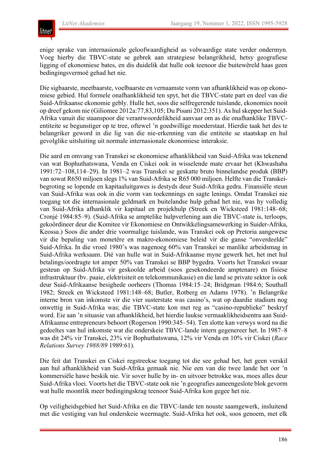enige sprake van internasionale geloofwaardigheid as volwaardige state verder ondermyn. Voeg hierby die TBVC-state se gebrek aan strategiese belangrikheid, hetsy geografiese ligging of ekonomiese bates, en dis duidelik dat hulle ook teenoor die buitewêreld haas geen bedingingsvermoë gehad het nie.

Die sigbaarste, meetbaarste, voelbaarste en vernaamste vorm van afhanklikheid was op ekonomiese gebied. Hul formele onafhanklikheid ten spyt, het die TBVC-state part en deel van die Suid-Afrikaanse ekonomie gebly. Hulle het, soos die selfregerende tuislande, ekonomies nooit op dreef gekom nie (Giliomee 2012a:77,83,105; Du Pisani 2012:351). As hul skepper het Suid-Afrika vanuit die staanspoor die verantwoordelikheid aanvaar om as die onafhanklike TBVCentiteite se begunstiger op te tree, oftewel 'n goedwillige moederstaat. Hierdie taak het des te belangriker geword in die lig van die nie-erkenning van die entiteite se staatskap en hul gevolglike uitsluiting uit normale internasionale ekonomiese interaksie.

Die aard en omvang van Transkei se ekonomiese afhanklikheid van Suid-Afrika was tekenend van wat Bophuthatswana, Venda en Ciskei ook in wisselende mate ervaar het (Khwashaba 1991:72–108,114–29). In 1981–2 was Transkei se geskatte bruto binnelandse produk (BBP) van sowat R650 miljoen slegs 1% van Suid-Afrika se R65 000 miljoen. Helfte van die Transkeibegroting se lopende en kapitaaluitgawes is destyds deur Suid-Afrika gedra. Finansiële steun van Suid-Afrika was ook in die vorm van toekennings en sagte lenings. Omdat Transkei nie toegang tot die internasionale geldmark en buitelandse hulp gehad het nie, was hy volledig van Suid-Afrika afhanklik vir kapitaal en projekhulp (Streek en Wicksteed 1981:148–68; Cronjé 1984:85–9). (Suid-Afrika se amptelike hulpverlening aan die TBVC-state is, terloops, gekoördineer deur die Komitee vir Ekonomiese en Ontwikkelingsamewerking in Suider-Afrika, Keossa.) Soos die ander drie voormalige tuislande, was Transkei ook op Pretoria aangewese vir die bepaling van monetêre en makro-ekonomiese beleid vir die ganse "onverdeelde" Suid-Afrika. In die vroeë 1980's was nagenoeg 60% van Transkei se manlike arbeidsmag in Suid-Afrika werksaam. Dié van hulle wat in Suid-Afrikaanse myne gewerk het, het met hul betalings/oordragte tot amper 50% van Transkei se BBP bygedra. Voorts het Transkei swaar gesteun op Suid-Afrika vir geskoolde arbeid (soos gesekondeerde amptenare) en fisiese infrastruktuur (bv. paaie, elektrisiteit en telekommunikasie) en die land se private sektor is ook deur Suid-Afrikaanse besighede oorheers (Thomas 1984:15–24; Bridgman 1984:6; Southall 1982; Streek en Wicksteed 1981:148–68; Butler, Rotberg en Adams 1978). 'n Belangrike interne bron van inkomste vir die vier susterstate was casino's, wat op daardie stadium nog onwettig in Suid-Afrika was; die TBVC-state kon met reg as "casino-republieke" beskryf word. Eie aan 'n situasie van afhanklikheid, het hierdie luukse vermaaklikheidsentra aan Suid-Afrikaanse entrepreneurs behoort (Rogerson 1990:345–54). Ten slotte kan verwys word na die gedeeltes van hul inkomste wat die onderskeie TBVC-lande intern gegenereer het. In 1987–8 was dit 24% vir Transkei, 23% vir Bophuthatswana, 12% vir Venda en 10% vir Ciskei (*Race Relations Survey 1988/89* 1989:61).

Die feit dat Transkei en Ciskei regstreekse toegang tot die see gehad het, het geen verskil aan hul afhanklikheid van Suid-Afrika gemaak nie. Nie een van die twee lande het oor 'n kommersiële hawe beskik nie. Vir sover hulle by in- en uitvoer betrokke was, moes alles deur Suid-Afrika vloei. Voorts het die TBVC-state ook nie 'n geografies aaneengeslote blok gevorm wat hulle moontlik meer bedingingskrag teenoor Suid-Afrika kon gegee het nie.

Op veiligheidsgebied het Suid-Afrika en die TBVC-lande ten nouste saamgewerk, insluitend met die vestiging van hul onderskeie weermagte. Suid-Afrika het ook, soos genoem, met elk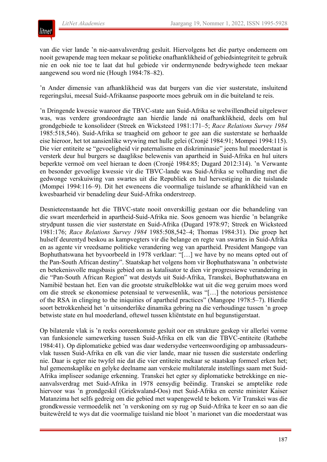

van die vier lande 'n nie-aanvalsverdrag gesluit. Hiervolgens het die partye onderneem om nooit gewapende mag teen mekaar se politieke onafhanklikheid of gebiedsintegriteit te gebruik nie en ook nie toe te laat dat hul gebiede vir ondermynende bedrywighede teen mekaar aangewend sou word nie (Hough 1984:78–82).

'n Ander dimensie van afhanklikheid was dat burgers van die vier susterstate, insluitend regeringslui, meesal Suid-Afrikaanse paspoorte moes gebruik om in die buiteland te reis.

'n Dringende kwessie waaroor die TBVC-state aan Suid-Afrika se welwillendheid uitgelewer was, was verdere grondoordragte aan hierdie lande ná onafhanklikheid, deels om hul grondgebiede te konsolideer (Streek en Wicksteed 1981:171–5; *Race Relations Survey 1984* 1985:518,546). Suid-Afrika se traagheid om gehoor te gee aan die susterstate se herhaalde eise hieroor, het tot aansienlike wrywing met hulle gelei (Cronjé 1984:91; Mompei 1994:115). Die vier entiteite se "gevoeligheid vir paternalisme en diskriminasie" jeens hul moederstaat is versterk deur hul burgers se daaglikse belewenis van apartheid in Suid-Afrika en hul uiters beperkte vermoë om veel hieraan te doen (Cronjé 1984:85; Dugard 2012:314). 'n Verwante en besonder gevoelige kwessie vir die TBVC-lande was Suid-Afrika se volharding met die gedwonge verskuiwing van swartes uit die Republiek en hul hervestiging in die tuislande (Mompei 1994:116–9). Dit het eweneens die voormalige tuislande se afhanklikheid van en kwesbaarheid vir benadeling deur Suid-Afrika onderstreep.

Desnieteenstaande het die TBVC-state nooit onverskillig gestaan oor die behandeling van die swart meerderheid in apartheid-Suid-Afrika nie. Soos genoem was hierdie 'n belangrike strydpunt tussen die vier susterstate en Suid-Afrika (Dugard 1978:97; Streek en Wicksteed 1981:176; *Race Relations Survey 1984* 1985:508,542–4; Thomas 1984:31). Die groep het hulself deurentyd beskou as kampvegters vir die belange en regte van swartes in Suid-Afrika en as agente vir vreedsame politieke verandering weg van apartheid. President Mangope van Bophuthatswana het byvoorbeeld in 1978 verklaar: "[…] we have by no means opted out of the Pan-South African destiny". Staatskap het volgens hom vir Bophuthatswana 'n onbetwiste en betekenisvolle magsbasis gebied om as katalisator te dien vir progressiewe verandering in die "Pan-South African Region" wat destyds uit Suid-Afrika, Transkei, Bophuthatswana en Namibië bestaan het. Een van die grootste struikelblokke wat uit die weg geruim moes word om die streek se ekonomiese potensiaal te verwesenlik, was "[…] the notorious persistence of the RSA in clinging to the iniquities of apartheid practices" (Mangope 1978:5–7). Hierdie soort betrokkenheid het 'n uitsonderlike dinamika gebring na die verhoudinge tussen 'n groep betwiste state en hul moederland, oftewel tussen kliëntstate en hul begunstigerstaat.

Op bilaterale vlak is 'n reeks ooreenkomste gesluit oor en strukture geskep vir allerlei vorme van funksionele samewerking tussen Suid-Afrika en elk van die TBVC-entiteite (Rathebe 1984:41). Op diplomatieke gebied was daar wedersydse verteenwoordiging op ambassadeursvlak tussen Suid-Afrika en elk van die vier lande, maar nie tussen die susterstate onderling nie. Daar is egter nie twyfel nie dat die vier entiteite mekaar se staatskap formeel erken het; hul gemeenskaplike en gelyke deelname aan verskeie multilaterale instellings saam met Suid-Afrika impliseer sodanige erkenning. Transkei het egter sy diplomatieke betrekkinge en nieaanvalsverdrag met Suid-Afrika in 1978 eensydig beëindig. Transkei se amptelike rede hiervoor was 'n grondgeskil (Griekwaland-Oos) met Suid-Afrika en eerste minister Kaiser Matanzima het selfs gedreig om die gebied met wapengeweld te bekom. Vir Transkei was die grondkwessie vermoedelik net 'n verskoning om sy rug op Suid-Afrika te keer en so aan die buitewêreld te wys dat die voormalige tuisland nie bloot 'n marionet van die moederstaat was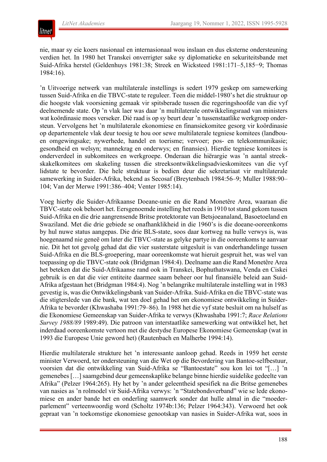

nie, maar sy eie koers nasionaal en internasionaal wou inslaan en dus eksterne ondersteuning verdien het. In 1980 het Transkei onverrigter sake sy diplomatieke en sekuriteitsbande met Suid-Afrika herstel (Geldenhuys 1981:38; Streek en Wicksteed 1981:171–5,185−9; Thomas 1984:16).

'n Uitvoerige netwerk van multilaterale instellings is sedert 1979 geskep om samewerking tussen Suid-Afrika en die TBVC-state te reguleer. Teen die middel-1980's het die struktuur op die hoogste vlak voorsiening gemaak vir spitsberade tussen die regeringshoofde van die vyf deelnemende state. Op 'n vlak laer was daar 'n multilaterale ontwikkelingsraad van ministers wat koördinasie moes verseker. Dié raad is op sy beurt deur 'n tussenstaatlike werkgroep ondersteun. Vervolgens het 'n multilaterale ekonomiese en finansiekomitee gesorg vir koördinasie op departementele vlak deur toesig te hou oor sewe multilaterale tegniese komitees (landbouen omgewingsake; nywerhede, handel en toerisme; vervoer; pos- en telekommunikasie; gesondheid en welsyn; mannekrag en onderwys; en finansies). Hierdie tegniese komitees is onderverdeel in subkomitees en werkgroepe. Onderaan die hiërargie was 'n aantal streekskakelkomitees om skakeling tussen die streeksontwikkelingsadvieskomitees van die vyf lidstate te bevorder. Die hele struktuur is bedien deur die sekretariaat vir multilaterale samewerking in Suider-Afrika, bekend as Secosaf (Breytenbach 1984:56–9; Muller 1988:90– 104; Van der Merwe 1991:386–404; Venter 1985:14).

Voeg hierby die Suider-Afrikaanse Doeane-unie en die Rand Monetêre Area, waaraan die TBVC-state ook behoort het. Eersgenoemde instelling het reeds in 1910 tot stand gekom tussen Suid-Afrika en die drie aangrensende Britse protektorate van Betsjoeanaland, Basoetoeland en Swaziland. Met die drie gebiede se onafhanklikheid in die 1960's is die doeane-ooreenkoms by hul nuwe status aangepas. Die drie BLS-state, soos daar kortweg na hulle verwys is, was hoegenaamd nie geneë om later die TBVC-state as gelyke partye in die ooreenkoms te aanvaar nie. Dit het tot gevolg gehad dat die vier susterstate uitgesluit is van onderhandelinge tussen Suid-Afrika en die BLS-groepering, maar ooreenkomste wat hieruit gespruit het, was wel van toepassing op die TBVC-state ook (Bridgman 1984:4). Deelname aan die Rand Monetêre Area het beteken dat die Suid-Afrikaanse rand ook in Transkei, Bophuthatswana, Venda en Ciskei gebruik is en dat die vier entiteite daarmee saam beheer oor hul finansiële beleid aan Suid-Afrika afgestaan het (Bridgman 1984:4). Nog 'n belangrike multilaterale instelling wat in 1983 gevestig is, was die Ontwikkelingsbank van Suider-Afrika. Suid-Afrika en die TBVC-state was die stigterslede van die bank, wat ten doel gehad het om ekonomiese ontwikkeling in Suider-Afrika te bevorder (Khwashaba 1991:79–86). In 1988 het die vyf state besluit om na hulself as die Ekonomiese Gemeenskap van Suider-Afrika te verwys (Khwashaba 1991:7; *Race Relations Survey 1988/89* 1989:49). Die patroon van interstaatlike samewerking wat ontwikkel het, het inderdaad ooreenkomste vertoon met die destydse Europese Ekonomiese Gemeenskap (wat in 1993 die Europese Unie geword het) (Rautenbach en Malherbe 1994:14).

Hierdie multilaterale strukture het 'n interessante aanloop gehad. Reeds in 1959 het eerste minister Verwoerd, ter ondersteuning van die Wet op die Bevordering van Bantoe-selfbestuur, voorsien dat die ontwikkeling van Suid-Afrika se "Bantoestate" sou kon lei tot "[…] 'n gemenebes […] saamgebind deur gemeenskaplike belange binne hierdie suidelike gedeelte van Afrika" (Pelzer 1964:265). Hy het by 'n ander geleentheid spesifiek na die Britse gemenebes van nasies as 'n rolmodel vir Suid-Afrika verwys: 'n "Statebondsverband" wie se lede ekonomiese en ander bande het en onderling saamwerk sonder dat hulle almal in die "moederparlement" verteenwoordig word (Scholtz 1974b:136; Pelzer 1964:343). Verwoerd het ook gepraat van 'n toekomstige ekonomiese genootskap van nasies in Suider-Afrika wat, soos in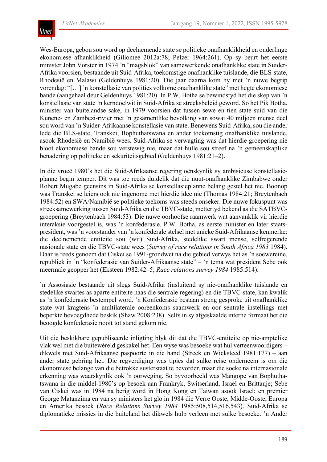

Wes-Europa, gebou sou word op deelnemende state se politieke onafhanklikheid en onderlinge ekonomiese afhanklikheid (Giliomee 2012a:78; Pelzer 1964:261). Op sy beurt het eerste minister John Vorster in 1974 'n "magsblok" van samewerkende onafhanklike state in Suider-Afrika voorsien, bestaande uit Suid-Afrika, toekomstige onafhanklike tuislande, die BLS-state, Rhodesië en Malawi (Geldenhuys 1981:20). Die jaar daarna kom hy met 'n nuwe begrip vorendag: "[…] 'n konstellasie van polities volkome onafhanklike state" met hegte ekonomiese bande (aangehaal deur Geldenhuys 1981:20). In P.W. Botha se bewindstyd het die skep van 'n konstellasie van state 'n kerndoelwit in Suid-Afrika se streeksbeleid geword. So het Pik Botha, minister van buitelandse sake, in 1979 voorsien dat tussen sewe en tien state suid van die Kunene- en Zambezi-rivier met 'n gesamentlike bevolking van sowat 40 miljoen mense deel sou word van 'n Suider-Afrikaanse konstellasie van state. Benewens Suid-Afrika,sou die ander lede die BLS-state, Transkei, Bophuthatswana en ander toekomstig onafhanklike tuislande, asook Rhodesië en Namibië wees. Suid-Afrika se verwagting was dat hierdie groepering nie bloot ekonomiese bande sou verstewig nie, maar dat hulle sou streef na 'n gemeenskaplike benadering op politieke en sekuriteitsgebied (Geldenhuys 1981:21–2).

In die vroeë 1980's het die Suid-Afrikaanse regering oënskynlik sy ambisieuse konstellasieplanne begin temper. Dit was toe reeds duidelik dat die nuut-onafhanklike Zimbabwe onder Robert Mugabe geensins in Suid-Afrika se konstellasieplanne belang gestel het nie. Boonop was Transkei se leiers ook nie ingenome met hierdie idee nie (Thomas 1984:21; Breytenbach 1984:52) en SWA/Namibië se politieke toekoms was steeds onseker. Die nuwe fokuspunt was streeksamewerking tussen Suid-Afrika en die TBVC-state, mettertyd bekend as die SATBVCgroepering (Breytenbach 1984:53). Die nuwe oorhoofse raamwerk wat aanvanklik vir hierdie interaksie voorgestel is, was 'n konfederasie. P.W. Botha, as eerste minister en later staatspresident, was'n voorstander van 'n konfederale stelsel met unieke Suid-Afrikaanse kenmerke: die deelnemende entiteite sou (wit) Suid-Afrika, stedelike swart mense, selfregerende nasionale state en die TBVC-state wees (*Survey of race relations in South Africa 1983* 1984). Daar is reeds genoem dat Ciskei se 1991-grondwet na die gebied verwys het as 'n soewereine, republiek in 'n "konfederasie van Suider-Afrikaanse state" – 'n tema wat president Sebe ook meermale geopper het (Eksteen 1982:42–5; *Race relations survey 1984* 1985:514).

'n Assosiasie bestaande uit slegs Suid-Afrika (insluitend sy nie-onafhanklike tuislande en stedelike swartes as aparte entiteite naas die sentrale regering) en die TBVC-state, kan kwalik as 'n konfederasie bestempel word. 'n Konfederasie bestaan streng gesproke uit onafhanklike state wat kragtens 'n multilaterale ooreenkoms saamwerk en oor sentrale instellings met beperkte bevoegdhede beskik (Shaw 2008:238). Selfs in sy afgeskaalde interne formaat het die beoogde konfederasie nooit tot stand gekom nie.

Uit die beskikbare gepubliseerde inligting blyk dit dat die TBVC-entiteite op nie-amptelike vlak wel met die buitewêreld geskakel het. Een wyse was besoeke wat hul verteenwoordigers – dikwels met Suid-Afrikaanse paspoorte in die hand (Streek en Wicksteed 1981:177) – aan ander state gebring het. Die regverdiging was tipies dat sulke reise onderneem is om die ekonomiese belange van die betrokke susterstaat te bevorder, maar die soeke na internasionale erkenning was waarskynlik ook 'n oorweging. So byvoorbeeld was Mangope van Bophuthatswana in die middel-1980's op besoek aan Frankryk, Switserland, Israel en Brittanje; Sebe van Ciskei was in 1984 na berig word in Hong Kong en Taiwan asook Israel; en premier George Matanzima en van sy ministers het glo in 1984 die Verre Ooste, Midde-Ooste, Europa en Amerika besoek (*Race Relations Survey 1984* 1985:508,514,516,543). Suid-Afrika se diplomatieke missies in die buiteland het dikwels hulp verleen met sulke besoeke. 'n Ander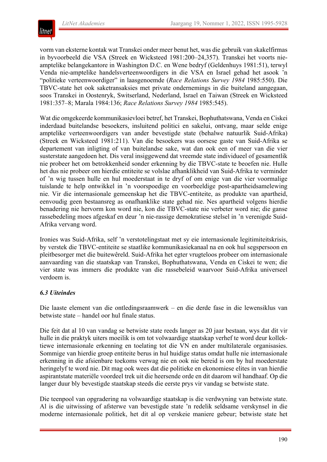

vorm van eksterne kontak wat Transkei onder meer benut het, was die gebruik van skakelfirmas in byvoorbeeld die VSA (Streek en Wicksteed 1981:200–24,357). Transkei het voorts nieamptelike belangekantore in Washington D.C. en Wene bedryf (Geldenhuys 1981:51), terwyl Venda nie-amptelike handelsverteenwoordigers in die VSA en Israel gehad het asook 'n "politieke verteenwoordiger" in laasgenoemde (*Race Relations Survey 1984* 1985:550). Die TBVC-state het ook saketransaksies met private ondernemings in die buiteland aangegaan, soos Transkei in Oostenryk, Switserland, Nederland, Israel en Taiwan (Streek en Wicksteed 1981:357–8; Marala 1984:136; *Race Relations Survey 1984* 1985:545).

Wat die omgekeerde kommunikasievloei betref, het Transkei, Bophuthatswana, Venda en Ciskei inderdaad buitelandse besoekers, insluitend politici en sakelui, ontvang, maar selde enige amptelike verteenwoordigers van ander bevestigde state (behalwe natuurlik Suid-Afrika) (Streek en Wicksteed 1981:211). Van die besoekers was oorsese gaste van Suid-Afrika se departement van inligting of van buitelandse sake, wat dan ook een of meer van die vier susterstate aangedoen het. Dis veral insiggewend dat vreemde state individueel of gesamentlik nie probeer het om betrokkenheid sonder erkenning by die TBVC-state te beoefen nie. Hulle het dus nie probeer om hierdie entiteite se volslae afhanklikheid van Suid-Afrika te verminder of 'n wig tussen hulle en hul moederstaat in te dryf of om enige van die vier voormalige tuislande te help ontwikkel in 'n voorspoedige en voorbeeldige post-apartheidsamelewing nie. Vir die internasionale gemeenskap het die TBVC-entiteite, as produkte van apartheid, eenvoudig geen bestaansreg as onafhanklike state gehad nie. Nes apartheid volgens hierdie benadering nie hervorm kon word nie, kon die TBVC-state nie verbeter word nie; die ganse rassebedeling moes afgeskaf en deur 'n nie-rassige demokratiese stelsel in 'n verenigde Suid-Afrika vervang word.

Ironies was Suid-Afrika, self 'n verstotelingstaat met sy eie internasionale legitimiteitskrisis, by verstek die TBVC-entiteite se staatlike kommunikasiekanaal na en ook hul segspersoon en pleitbesorger met die buitewêreld. Suid-Afrika het egter vrugteloos probeer om internasionale aanvaarding van die staatskap van Transkei, Bophuthatswana, Venda en Ciskei te wen; die vier state was immers die produkte van die rassebeleid waarvoor Suid-Afrika universeel verdoem is.

## *6.3 Uiteindes*

Die laaste element van die ontledingsraamwerk – en die derde fase in die lewensiklus van betwiste state – handel oor hul finale status.

Die feit dat al 10 van vandag se betwiste state reeds langer as 20 jaar bestaan, wys dat dit vir hulle in die praktyk uiters moeilik is om tot volwaardige staatskap verhef te word deur kollektiewe internasionale erkenning en toelating tot die VN en ander multilaterale organisasies. Sommige van hierdie groep entiteite berus in hul huidige status omdat hulle nie internasionale erkenning in die afsienbare toekoms verwag nie en ook nie bereid is om by hul moederstate heringelyf te word nie. Dit mag ook wees dat die politieke en ekonomiese elites in van hierdie aspirantstate materiële voordeel trek uit die heersende orde en dit daarom wil handhaaf. Op die langer duur bly bevestigde staatskap steeds die eerste prys vir vandag se betwiste state.

Die teenpool van opgradering na volwaardige staatskap is die verdwyning van betwiste state. Al is die uitwissing of afsterwe van bevestigde state 'n redelik seldsame verskynsel in die moderne internasionale politiek, het dit al op verskeie maniere gebeur; betwiste state het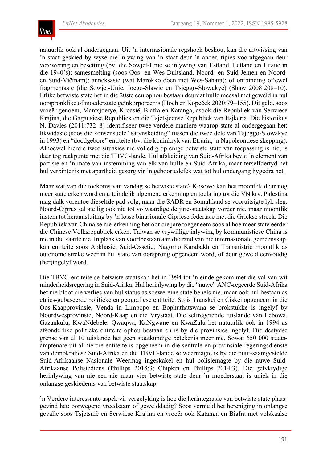

natuurlik ook al ondergegaan. Uit 'n internasionale regshoek beskou, kan die uitwissing van 'n staat geskied by wyse die inlywing van 'n staat deur 'n ander, tipies voorafgegaan deur verowering en besetting (bv. die Sowjet-Unie se inlywing van Estland, Letland en Litaue in die 1940's); samesmelting (soos Oos- en Wes-Duitsland, Noord- en Suid-Jemen en Noorden Suid-Viëtnam); anneksasie (wat Marokko doen met Wes-Sahara); of ontbinding oftewel fragmentasie (die Sowjet-Unie, Joego-Slawië en Tsjeggo-Slowakye) (Shaw 2008:208–10). Etlike betwiste state het in die 20ste eeu ophou bestaan deurdat hulle meesal met geweld in hul oorspronklike of moederstate geïnkorporeer is (Hoch en Kopeček 2020:79–155). Dit geld, soos vroeër genoem, Mantsjoerye, Kroasië, Biafra en Katanga, asook die Republiek van Serwiese Krajina, die Gagausiese Republiek en die Tsjetsjeense Republiek van Itsjkeria. Die historikus N. Davies (2011:732–8) identifiseer twee verdere maniere waarop state al ondergegaan het: likwidasie (soos die konsensuele "satynskeiding" tussen die twee dele van Tsjeggo-Slowakye in 1993) en "doodgebore" entiteite (bv. die koninkryk van Etruria, 'n Napoleontiese skepping). Alhoewel hierdie twee situasies nie volledig op enige betwiste state van toepassing is nie, is daar tog raakpunte met die TBVC-lande. Hul afskeiding van Suid-Afrika bevat 'n element van partisie en 'n mate van instemming van elk van hulle en Suid-Afrika, maar terselfdertyd het hul verbintenis met apartheid gesorg vir 'n geboortedefek wat tot hul ondergang bygedra het.

Maar wat van die toekoms van vandag se betwiste state? Kosowo kan bes moontlik deur nog meer state erken word en uiteindelik algemene erkenning en toelating tot die VN kry. Palestina mag dalk vorentoe dieselfde pad volg, maar die SADR en Somaliland se vooruitsigte lyk sleg. Noord-Ciprus sal stellig ook nie tot volwaardige de jure-staatskap vorder nie, maar moontlik instem tot heraansluiting by 'n losse binasionale Cipriese federasie met die Griekse streek. Die Republiek van China se nie-erkenning het oor die jare toegeneem soos al hoe meer state eerder die Chinese Volksrepubliek erken. Taiwan se vrywillige inlywing by kommunistiese China is nie in die kaarte nie. In plaas van voortbestaan aan die rand van die internasionale gemeenskap, kan entiteite soos Abkhasië, Suid-Ossetië, Nagorno Karabakh en Transnistrië moontlik as outonome streke weer in hul state van oorsprong opgeneem word, of deur geweld eenvoudig (her)ingelyf word.

Die TBVC-entiteite se betwiste staatskap het in 1994 tot 'n einde gekom met die val van wit minderheidsregering in Suid-Afrika. Hul herinlywing by die "nuwe" ANC-regeerde Suid-Afrika het nie bloot die verlies van hul status as soewereine state behels nie, maar ook hul bestaan as etnies-gebaseerde politieke en geografiese entiteite. So is Transkei en Ciskei opgeneem in die Oos-Kaapprovinsie, Venda in Limpopo en Bophuthatswana se brokstukke is ingelyf by Noordwesprovinsie, Noord-Kaap en die Vrystaat. Die selfregerende tuislande van Lebowa, Gazankulu, KwaNdebele, Qwaqwa, KaNgwane en KwaZulu het natuurlik ook in 1994 as afsonderlike politieke entiteite ophou bestaan en is by die provinsies ingelyf. Die destydse grense van al 10 tuislande het geen staatkundige betekenis meer nie. Sowat 650 000 staatsamptenare uit al hierdie entiteite is opgeneem in die sentrale en provinsiale regeringsdienste van demokratiese Suid-Afrika en die TBVC-lande se weermagte is by die nuut-saamgestelde Suid-Afrikaanse Nasionale Weermag ingeskakel en hul polisiemagte by die nuwe Suid-Afrikaanse Polisiediens (Phillips 2018:3; Chipkin en Phillips 2014:3). Die gelyktydige herinlywing van nie een nie maar vier betwiste state deur 'n moederstaat is uniek in die onlangse geskiedenis van betwiste staatskap.

'n Verdere interessante aspek vir vergelyking is hoe die herintegrasie van betwiste state plaasgevind het: oorwegend vreedsaam of gewelddadig? Soos vermeld het hereniging in onlangse gevalle soos Tsjetsnië en Serwiese Krajina en vroeër ook Katanga en Biafra met volskaalse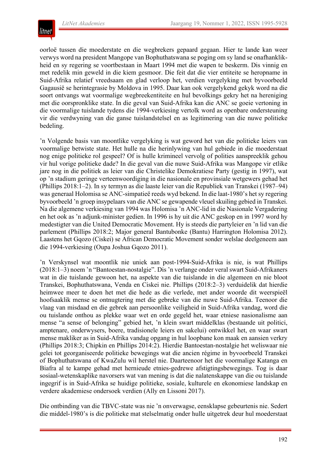

oorloë tussen die moederstate en die wegbrekers gepaard gegaan. Hier te lande kan weer verwys word na president Mangope van Bophuthatswana se poging om sy land se onafhanklikheid en sy regering se voortbestaan in Maart 1994 met die wapen te beskerm. Dis vinnig en met redelik min geweld in die kiem gesmoor. Die feit dat die vier entiteite se heropname in Suid-Afrika relatief vreedsaam en glad verloop het, verdien vergelyking met byvoorbeeld Gagausië se herintegrasie by Moldova in 1995. Daar kan ook vergelykend gekyk word na die soort ontvangs wat voormalige wegbreekentiteite en hul bevolkings gekry het na hereniging met die oorspronklike state. In die geval van Suid-Afrika kan die ANC se goeie vertoning in die voormalige tuislande tydens die 1994-verkiesing vertolk word as openbare ondersteuning vir die verdwyning van die ganse tuislandstelsel en as legitimering van die nuwe politieke bedeling.

'n Volgende basis van moontlike vergelyking is wat geword het van die politieke leiers van voormalige betwiste state. Het hulle na die herinlywing van hul gebiede in die moederstaat nog enige politieke rol gespeel? Of is hulle krimineel vervolg of polities aanspreeklik gehou vir hul vorige politieke dade? In die geval van die nuwe Suid-Afrika was Mangope vir etlike jare nog in die politiek as leier van die Christelike Demokratiese Party (gestig in 1997), wat op 'n stadium geringe verteenwoordiging in die nasionale en provinsiale wetgewers gehad het (Phillips 2018:1–2). In sy termyn as die laaste leier van die Republiek van Transkei (1987–94) was generaal Holomisa se ANC-simpatieë reeds wyd bekend. In die laat-1980's het sy regering byvoorbeeld 'n groep insypelaars van die ANC se gewapende vleuel skuiling gebied in Transkei. Na die algemene verkiesing van 1994 was Holomisa 'n ANC-lid in die Nasionale Vergadering en het ook as 'n adjunk-minister gedien. In 1996 is hy uit die ANC geskop en in 1997 word hy medestigter van die United Democratic Movement. Hy is steeds die partyleier en 'n lid van die parlement (Phillips 2018:2; Major general Bantubonke (Bantu) Harrington Holomisa 2012). Laastens het Gqozo (Ciskei) se African Democratic Movement sonder welslae deelgeneem aan die 1994-verkiesing (Oupa Joshua Gqozo 2011).

'n Verskynsel wat moontlik nie uniek aan post-1994-Suid-Afrika is nie, is wat Phillips (2018:1–3) noem 'n "Bantoestan-nostalgie". Dis 'n verlange onder veral swart Suid-Afrikaners wat in die tuislande gewoon het, na aspekte van die tuislande in die algemeen en nie bloot Transkei, Bophuthatswana, Venda en Ciskei nie. Phillips (2018:2–3) verduidelik dat hierdie heimwee meer te doen het met die hede as die verlede, met ander woorde dit weerspieël hoofsaaklik mense se ontnugtering met die gebreke van die nuwe Suid-Afrika. Teenoor die vlaag van misdaad en die gebrek aan persoonlike veiligheid in Suid-Afrika vandag, word die ou tuislande onthou as plekke waar wet en orde gegeld het, waar etniese nasionalisme aan mense "a sense of belonging" gebied het, 'n klein swart middelklas (bestaande uit politici, amptenare, onderwysers, boere, tradisionele leiers en sakelui) ontwikkel het, en waar swart mense makliker as in Suid-Afrika vandag opgang in hul loopbane kon maak en aansien verkry (Phillips 2018:3; Chipkin en Phillips 2014:2). Hierdie Bantoestan-nostalgie het weliswaar nie gelei tot georganiseerde politieke bewegings wat die ancien régime in byvoorbeeld Transkei of Bophuthatswana of KwaZulu wil herstel nie. Daarteenoor het die voormalige Katanga en Biafra al te kampe gehad met hernieude etnies-gedrewe afstigtingsbewegings. Tog is daar sosiaal-wetenskaplike navorsers wat van mening is dat die nalatenskappe van die ou tuislande ingegrif is in Suid-Afrika se huidige politieke, sosiale, kulturele en ekonomiese landskap en verdere akademiese ondersoek verdien (Ally en Lissoni 2017).

Die ontbinding van die TBVC-state was nie 'n onverwagse, eensklapse gebeurtenis nie. Sedert die middel-1980's is die politieke mat stelselmatig onder hulle uitgetrek deur hul moederstaat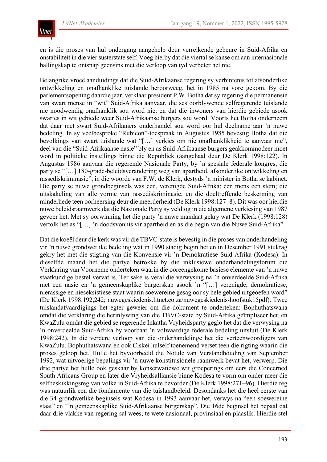

en is die proses van hul ondergang aangehelp deur verreikende gebeure in Suid-Afrika en onstabiliteit in die vier susterstate self. Voeg hierby dat die viertal se kanse om aan internasionale ballingskap te ontsnap geensins met die verloop van tyd verbeter het nie.

Belangrike vroeë aanduidings dat die Suid-Afrikaanse regering sy verbintenis tot afsonderlike ontwikkeling en onafhanklike tuislande heroorweeg, het in 1985 na vore gekom. By die parlementsopening daardie jaar, verklaar president P.W. Botha dat sy regering die permanensie van swart mense in "wit" Suid-Afrika aanvaar, die ses oorblywende selfregerende tuislande nie noodwendig onafhanklik sou word nie, en dat die inwoners van hierdie gebiede asook swartes in wit gebiede weer Suid-Afrikaanse burgers sou word. Voorts het Botha onderneem dat daar met swart Suid-Afrikaners onderhandel sou word oor hul deelname aan 'n nuwe bedeling. In sy veelbesproke "Rubicon"-toespraak in Augustus 1985 bevestig Botha dat die bevolkings van swart tuislande wat "[…] verkies om nie onafhanklikheid te aanvaar nie", deel van die "Suid-Afrikaanse nasie" bly en as Suid-Afrikaanse burgers geakkommodeer moet word in politieke instellings binne die Republiek (aangehaal deur De Klerk 1998:122). In Augustus 1986 aanvaar die regerende Nasionale Party, by 'n spesiale federale kongres, die party se "[…] 180-grade-beleidsverandering weg van apartheid, afsonderlike ontwikkeling en rassediskriminasie", in die woorde van F.W. de Klerk, destyds 'n minister in Botha se kabinet. Die party se nuwe grondbeginsels was een, verenigde Suid-Afrika; een mens een stem; die uitskakeling van alle vorme van rassediskriminasie; en die doeltreffende beskerming van minderhede teen oorheersing deur die meerderheid (De Klerk 1998:127–8). Dit was oor hierdie nuwe beleidsraamwerk dat die Nasionale Party sy veldtog in die algemene verkiesing van 1987 gevoer het. Met sy oorwinning het die party 'n nuwe mandaat gekry wat De Klerk (1998:128) vertolk het as "[…] 'n doodsvonnis vir apartheid en as die begin van die Nuwe Suid-Afrika".

Dat die koeël deur die kerk was vir die TBVC-state is bevestig in die proses van onderhandeling vir 'n nuwe grondwetlike bedeling wat in 1990 stadig begin het en in Desember 1991 stukrag gekry het met die stigting van die Konvensie vir 'n Demokratiese Suid-Afrika (Kodesa). In dieselfde maand het die partye betrokke by die inklusiewe onderhandelingsforum die Verklaring van Voorneme onderteken waarin die ooreengekome basiese elemente van 'n nuwe staatkundige bestel vervat is. Ter sake is veral die verwysing na 'n onverdeelde Suid-Afrika met een nasie en 'n gemeenskaplike burgerskap asook 'n "[…] verenigde, demokratiese, nierassige en nieseksistiese staat waarin soewereine gesag oor sy hele gebied uitgeoefen word" (De Klerk 1998:192,242; nuwegeskiedenis.litnet.co.za/nuwegeskiedenis-hoofstuk15pdf). Twee tuislandafvaardigings het egter geweier om die dokument te onderteken: Bophuthatswana omdat die verklaring die herinlywing van die TBVC-state by Suid-Afrika geïmpliseer het, en KwaZulu omdat die gebied se regerende Inkatha Vryheidsparty geglo het dat die verwysing na 'n onverdeelde Suid-Afrika by voorbaat 'n volwaardige federale bedeling uitsluit (De Klerk 1998:242). In die verdere verloop van die onderhandelinge het die verteenwoordigers van KwaZulu, Bophuthatswana en ook Ciskei hulself toenemend verset teen die rigting waarin die proses geloop het. Hulle het byvoorbeeld die Notule van Verstandhouding van September 1992, wat uitvoerige bepalings vir 'n nuwe konstitusionele raamwerk bevat het, verwerp. Die drie partye het hulle ook geskaar by konserwatiewe wit groeperings om eers die Concerned South Africans Group en later die Vryheidsalliansie binne Kodesa te vorm om onder meer die selfbeskikkingsreg van volke in Suid-Afrika te bevorder (De Klerk 1998:271–96). Hierdie reg was natuurlik een die fondamente van die tuislandbeleid. Desondanks het die heel eerste van die 34 grondwetlike beginsels wat Kodesa in 1993 aanvaar het, verwys na "een soewereine staat" en "'n gemeenskaplike Suid-Afrikaanse burgerskap". Die 16de beginsel het bepaal dat daar drie vlakke van regering sal wees, te wete nasionaal, provinsiaal en plaaslik. Hierdie stel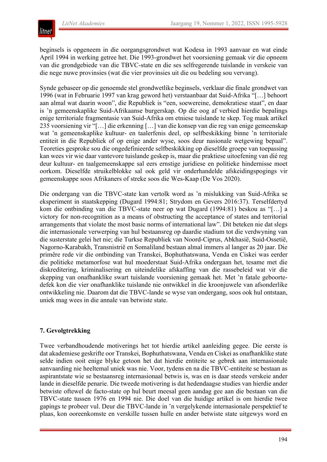

beginsels is opgeneem in die oorgangsgrondwet wat Kodesa in 1993 aanvaar en wat einde April 1994 in werking getree het. Die 1993-grondwet het voorsiening gemaak vir die opneem van die grondgebiede van die TBVC-state en die ses selfregerende tuislande in verskeie van die nege nuwe provinsies (wat die vier provinsies uit die ou bedeling sou vervang).

Synde gebaseer op die genoemde stel grondwetlike beginsels, verklaar die finale grondwet van 1996 (wat in Februarie 1997 van krag geword het) verstaanbaar dat Suid-Afrika "[…] behoort aan almal wat daarin woon", die Republiek is "een, soewereine, demokratiese staat", en daar is 'n gemeenskaplike Suid-Afrikaanse burgerskap. Op die oog af verbied hierdie bepalings enige territoriale fragmentasie van Suid-Afrika om etniese tuislande te skep. Tog maak artikel 235 voorsiening vir "[…] die erkenning […] van die konsep van die reg van enige gemeenskap wat 'n gemeenskaplike kultuur- en taalerfenis deel, op selfbeskikking binne 'n territoriale entiteit in die Republiek of op enige ander wyse, soos deur nasionale wetgewing bepaal". Teoreties gesproke sou die ongedefinieerde selfbeskikking op dieselfde groepe van toepassing kan wees vir wie daar vantevore tuislande geskep is, maar die praktiese uitoefening van dié reg deur kultuur- en taalgemeenskappe sal eers ernstige juridiese en politieke hindernisse moet oorkom. Dieselfde struikelblokke sal ook geld vir onderhandelde afskeidingspogings vir gemeenskappe soos Afrikaners of streke soos die Wes-Kaap (De Vos 2020).

Die ondergang van die TBVC-state kan vertolk word as 'n mislukking van Suid-Afrika se eksperiment in staatskepping (Dugard 1994:81; Strydom en Gevers 2016:37). Terselfdertyd kom die ontbinding van die TBVC-state neer op wat Dugard (1994:81) beskou as "[…] a victory for non-recognition as a means of obstructing the acceptance of states and territorial arrangements that violate the most basic norms of international law". Dit beteken nie dat slegs die internasionale verwerping van hul bestaansreg op daardie stadium tot die verdwyning van die susterstate gelei het nie; die Turkse Republiek van Noord-Ciprus, Abkhasië, Suid-Ossetië, Nagorno-Karabakh, Transnistrië en Somaliland bestaan almal immers al langer as 20 jaar. Die primêre rede vir die ontbinding van Transkei, Bophuthatswana, Venda en Ciskei was eerder die politieke metamorfose wat hul moederstaat Suid-Afrika ondergaan het, tesame met die diskreditering, kriminalisering en uiteindelike afskaffing van die rassebeleid wat vir die skepping van onafhanklike swart tuislande voorsiening gemaak het. Met 'n fatale geboortedefek kon die vier onafhanklike tuislande nie ontwikkel in die kroonjuwele van afsonderlike ontwikkeling nie. Daarom dat die TBVC-lande se wyse van ondergang, soos ook hul ontstaan, uniek mag wees in die annale van betwiste state.

#### **7. Gevolgtrekking**

Twee verbandhoudende motiverings het tot hierdie artikel aanleiding gegee. Die eerste is dat akademiese geskrifte oor Transkei, Bophuthatswana, Venda en Ciskei as onafhanklike state selde indien ooit enige blyke getoon het dat hierdie entiteite se gebrek aan internasionale aanvaarding nie heeltemal uniek was nie. Voor, tydens en na die TBVC-entiteite se bestaan as aspirantstate wie se bestaansreg internasionaal betwis is, was en is daar steeds verskeie ander lande in dieselfde penarie. Die tweede motivering is dat hedendaagse studies van hierdie ander betwiste oftewel de facto-state op hul beurt meesal geen aandag gee aan die bestaan van die TBVC-state tussen 1976 en 1994 nie. Die doel van die huidige artikel is om hierdie twee gapings te probeer vul. Deur die TBVC-lande in 'n vergelykende internasionale perspektief te plaas, kon ooreenkomste en verskille tussen hulle en ander betwiste state uitgewys word en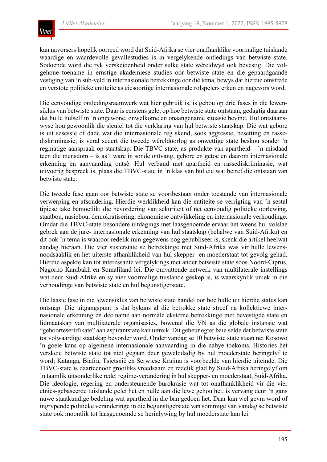

kan navorsers hopelik oorreed word dat Suid-Afrika se vier onafhanklike voormalige tuislande waardige en waardevolle gevallestudies is in vergelykende ontledings van betwiste state. Sodoende word die ryk verskeidenheid onder sulke state wêreldwyd ook bevestig. Die volgehoue toename in ernstige akademiese studies oor betwiste state en die gepaardgaande vestiging van 'n sub-veld in internasionale betrekkinge oor dié tema, bewys dat hierdie omstrede en verstote politieke entiteite as eiesoortige internasionale rolspelers erken en nagevors word.

Die eenvoudige ontledingsraamwerk wat hier gebruik is, is gebou op drie fases in die lewensiklus van betwiste state. Daar is eerstens gelet op hoe betwiste state ontstaan, gedagtig daaraan dat hulle hulself in 'n ongewone, onwelkome en onaangename situasie bevind. Hul ontstaanswyse hou gewoonlik die sleutel tot die verklaring van hul betwiste staatskap. Dié wat gebore is uit sesessie of dade wat die internasionale reg skend, soos aggressie, besetting en rassediskriminasie, is veral sedert die tweede wêreldoorlog as onwettige state beskou sonder 'n regmatige aanspraak op staatskap. Die TBVC-state, as produkte van apartheid – 'n misdaad teen die mensdom – is as't ware in sonde ontvang, gebore en getoë en daarom internasionale erkenning en aanvaarding ontsê. Hul verband met apartheid en rassediskriminasie, wat uitvoerig bespreek is, plaas die TBVC-state in 'n klas van hul eie wat betref die ontstaan van betwiste state.

Die tweede fase gaan oor betwiste state se voortbestaan onder toestande van internasionale verwerping en afsondering. Hierdie werklikheid kan die entiteite se verrigting van 'n sestal tipiese take bemoeilik: die bevordering van sekuriteit of net eenvoudig politieke oorlewing, staatbou, nasiebou, demokratisering, ekonomiese ontwikkeling en internasionale verhoudinge. Omdat die TBVC-state besondere uitdagings met laasgenoemde ervaar het weens hul volslae gebrek aan de jure- internasionale erkenning van hul staatskap (behalwe van Suid-Afrika) en dit ook 'n tema is waaroor redelik min gegewens nog gepubliseer is, skenk die artikel heelwat aandag hieraan. Die vier susterstate se betrekkinge met Suid-Afrika was vir hulle lewensnoodsaaklik en het uiterste afhanklikheid van hul skepper- en moederstaat tot gevolg gehad. Hierdie aspekte kan tot interessante vergelykings met ander betwiste state soos Noord-Ciprus, Nagorno Karabakh en Somaliland lei. Die omvattende netwerk van multilaterale instellings wat deur Suid-Afrika en sy vier voormalige tuislande geskep is, is waarskynlik uniek in die verhoudinge van betwiste state en hul begunstigerstate.

Die laaste fase in die lewensiklus van betwiste state handel oor hoe hulle uit hierdie status kan ontsnap. Die uitgangspunt is dat bykans al die betrokke state streef na kollektiewe internasionale erkenning en deelname aan normale eksterne betrekkinge met bevestigde state en lidmaatskap van multilaterale organisasies, bowenal die VN as die globale instansie wat "geboortesertifikate" aan aspirantstate kan uitreik. Dit gebeur egter baie selde dat betwiste state tot volwaardige staatskap bevorder word. Onder vandag se 10 betwiste state staan net Kosowo 'n goeie kans op algemene internasionale aanvaarding in die nabye toekoms. Histories het verskeie betwiste state tot niet gegaan deur gewelddadig by hul moederstate heringelyf te word; Katanga, Biafra, Tsjetsnië en Serwiese Krajina is voorbeelde van hierdie uiteinde. Die TBVC-state is daarteenoor grootliks vreedsaam en redelik glad by Suid-Afrika heringelyf om 'n taamlik uitsonderlike rede: regime-verandering in hul skepper- en moederstaat, Suid-Afrika. Die ideologie, regering en ondersteunende burokrasie wat tot onafhanklikheid vir die vier etnies-gebaseerde tuislande gelei het en hulle aan die lewe gehou het, is vervang deur 'n gans nuwe staatkundige bedeling wat apartheid in die ban gedoen het. Daar kan wel gevra word of ingrypende politieke veranderinge in die begunstigerstate van sommige van vandag se betwiste state ook moontlik tot laasgenoemde se herinlywing by hul moederstate kan lei.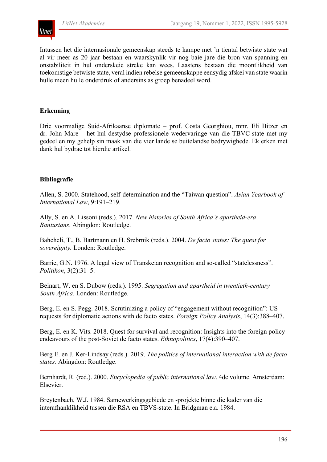# lıtnet

Intussen het die internasionale gemeenskap steeds te kampe met 'n tiental betwiste state wat al vir meer as 20 jaar bestaan en waarskynlik vir nog baie jare die bron van spanning en onstabiliteit in hul onderskeie streke kan wees. Laastens bestaan die moontlikheid van toekomstige betwiste state, veral indien rebelse gemeenskappe eensydig afskei van state waarin hulle meen hulle onderdruk of andersins as groep benadeel word.

## **Erkenning**

Drie voormalige Suid-Afrikaanse diplomate – prof. Costa Georghiou, mnr. Eli Bitzer en dr. John Mare – het hul destydse professionele wedervaringe van die TBVC-state met my gedeel en my gehelp sin maak van die vier lande se buitelandse bedrywighede. Ek erken met dank hul bydrae tot hierdie artikel.

## **Bibliografie**

Allen, S. 2000. Statehood, self-determination and the "Taiwan question". *Asian Yearbook of International Law*, 9:191–219.

Ally, S. en A. Lissoni (reds.). 2017. *New histories of South Africa's apartheid-era Bantustans*. Abingdon: Routledge.

Bahcheli, T., B. Bartmann en H. Srebrnik (reds.). 2004. *De facto states: The quest for sovereignty.* Londen: Routledge.

Barrie, G.N. 1976. A legal view of Transkeian recognition and so-called "statelessness". *Politikon*, 3(2):31–5.

Beinart, W. en S. Dubow (reds.). 1995. *Segregation and apartheid in twentieth-century South Africa*. Londen: Routledge.

Berg, E. en S. Pegg. 2018. Scrutinizing a policy of "engagement without recognition": US requests for diplomatic actions with de facto states. *Foreign Policy Analysis*, 14(3):388–407.

Berg, E. en K. Vits. 2018. Quest for survival and recognition: Insights into the foreign policy endeavours of the post-Soviet de facto states. *Ethnopolitics*, 17(4):390–407.

Berg E. en J. Ker-Lindsay (reds.). 2019. *The politics of international interaction with de facto states.* Abingdon: Routledge.

Bernhardt, R. (red.). 2000. *Encyclopedia of public international law*. 4de volume. Amsterdam: Elsevier.

Breytenbach, W.J. 1984. Samewerkingsgebiede en -projekte binne die kader van die interafhanklikheid tussen die RSA en TBVS-state. In Bridgman e.a. 1984.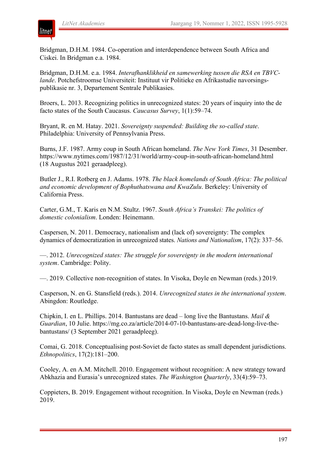

Bridgman, D.H.M. 1984. Co-operation and interdependence between South Africa and Ciskei. In Bridgman e.a. 1984.

Bridgman, D.H.M. e.a. 1984. *Interafhanklikheid en samewerking tussen die RSA en TBVClande*. Potchefstroomse Universiteit: Instituut vir Politieke en Afrikastudie navorsingspublikasie nr. 3, Departement Sentrale Publikasies.

Broers, L. 2013. Recognizing politics in unrecognized states: 20 years of inquiry into the de facto states of the South Caucasus. *Caucasus Survey*, 1(1):59–74.

Bryant, R. en M. Hatay. 2021. *Sovereignty suspended: Building the so-called state*. Philadelphia: University of Pennsylvania Press.

Burns, J.F. 1987. Army coup in South African homeland. *The New York Times*, 31 Desember. https://www.nytimes.com/1987/12/31/world/army-coup-in-south-african-homeland.html (18 Augustus 2021 geraadpleeg).

Butler J., R.I. Rotberg en J. Adams. 1978. *The black homelands of South Africa: The political and economic development of Bophuthatswana and KwaZulu*. Berkeley: University of California Press.

Carter, G.M., T. Karis en N.M. Stultz. 1967. *South Africa's Transkei: The politics of domestic colonialism*. Londen: Heinemann.

Caspersen, N. 2011. Democracy, nationalism and (lack of) sovereignty: The complex dynamics of democratization in unrecognized states. *Nations and Nationalism*, 17(2): 337–56.

—. 2012. *Unrecognized states: The struggle for sovereignty in the modern international system*. Cambridge: Polity.

—. 2019. Collective non-recognition of states. In Visoka, Doyle en Newman (reds.) 2019.

Casperson, N. en G. Stansfield (reds.). 2014. *Unrecognized states in the international system*. Abingdon: Routledge.

Chipkin, I. en L. Phillips. 2014. Bantustans are dead – long live the Bantustans. *Mail & Guardian*, 10 Julie. https://mg.co.za/article/2014-07-10-bantustans-are-dead-long-live-thebantustans/ (3 September 2021 geraadpleeg).

Comai, G. 2018. Conceptualising post-Soviet de facto states as small dependent jurisdictions. *Ethnopolitics*, 17(2):181–200.

Cooley, A. en A.M. Mitchell. 2010. Engagement without recognition: A new strategy toward Abkhazia and Eurasia's unrecognized states. *The Washington Quarterly*, 33(4):59–73.

Coppieters, B. 2019. Engagement without recognition. In Visoka, Doyle en Newman (reds.) 2019.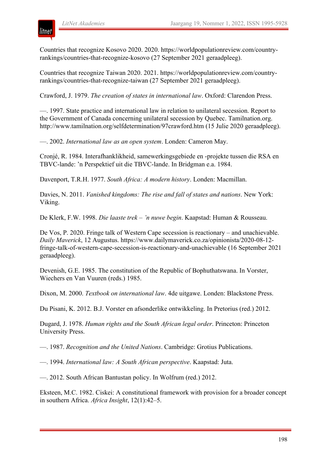Countries that recognize Kosovo 2020. 2020. https://worldpopulationreview.com/countryrankings/countries-that-recognize-kosovo (27 September 2021 geraadpleeg).

Countries that recognize Taiwan 2020. 2021. https://worldpopulationreview.com/countryrankings/countries-that-recognize-taiwan (27 September 2021 geraadpleeg).

Crawford, J. 1979. *The creation of states in international law*. Oxford: Clarendon Press.

—. 1997. State practice and international law in relation to unilateral secession. Report to the Government of Canada concerning unilateral secession by Quebec. Tamilnation.org. http://www.tamilnation.org/selfdetermination/97crawford.htm (15 Julie 2020 geraadpleeg).

—. 2002. *International law as an open system*. Londen: Cameron May.

Cronjé, R. 1984. Interafhanklikheid, samewerkingsgebiede en -projekte tussen die RSA en TBVC-lande: 'n Perspektief uit die TBVC-lande. In Bridgman e.a. 1984.

Davenport, T.R.H. 1977. *South Africa: A modern history*. Londen: Macmillan.

Davies, N. 2011. *Vanished kingdoms: The rise and fall of states and nations*. New York: Viking.

De Klerk, F.W. 1998. *Die laaste trek – 'n nuwe begin*. Kaapstad: Human & Rousseau.

De Vos, P. 2020. Fringe talk of Western Cape secession is reactionary – and unachievable. *Daily Maverick*, 12 Augustus. https://www.dailymaverick.co.za/opinionista/2020-08-12 fringe-talk-of-western-cape-secession-is-reactionary-and-unachievable (16 September 2021 geraadpleeg).

Devenish, G.E. 1985. The constitution of the Republic of Bophuthatswana. In Vorster, Wiechers en Van Vuuren (reds.) 1985.

Dixon, M. 2000. *Textbook on international law*. 4de uitgawe. Londen: Blackstone Press.

Du Pisani, K. 2012. B.J. Vorster en afsonderlike ontwikkeling. In Pretorius (red.) 2012.

Dugard, J. 1978. *Human rights and the South African legal order*. Princeton: Princeton University Press.

—. 1987. *Recognition and the United Nations*. Cambridge: Grotius Publications.

—. 1994. *International law: A South African perspective*. Kaapstad: Juta.

—. 2012. South African Bantustan policy. In Wolfrum (red.) 2012.

Eksteen, M.C. 1982. Ciskei: A constitutional framework with provision for a broader concept in southern Africa. *Africa Insight*, 12(1):42–5.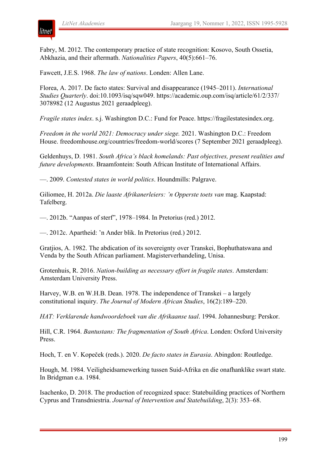

Fabry, M. 2012. The contemporary practice of state recognition: Kosovo, South Ossetia, Abkhazia, and their aftermath. *Nationalities Papers*, 40(5):661–76.

Fawcett, J.E.S. 1968. *The law of nations*. Londen: Allen Lane.

Florea, A. 2017. De facto states: Survival and disappearance (1945–2011). *International Studies Quarterly*. doi:10.1093/isq/sqw049. https://academic.oup.com/isq/article/61/2/337/ 3078982 (12 Augustus 2021 geraadpleeg).

*Fragile states index*. s.j. Washington D.C.: Fund for Peace. https://fragilestatesindex.org.

*Freedom in the world 2021: Democracy under siege.* 2021. Washington D.C.: Freedom House. freedomhouse.org/countries/freedom-world/scores (7 September 2021 geraadpleeg).

Geldenhuys, D. 1981. *South Africa's black homelands: Past objectives, present realities and future developments*. Braamfontein: South African Institute of International Affairs.

—. 2009. *Contested states in world politics*. Houndmills: Palgrave.

Giliomee, H. 2012a. *Die laaste Afrikanerleiers: 'n Opperste toets van* mag. Kaapstad: Tafelberg.

—. 2012b. "Aanpas of sterf", 1978–1984. In Pretorius (red.) 2012.

—. 2012c. Apartheid: 'n Ander blik. In Pretorius (red.) 2012.

Gratjios, A. 1982. The abdication of its sovereignty over Transkei, Bophuthatswana and Venda by the South African parliament. Magisterverhandeling, Unisa.

Grotenhuis, R. 2016. *Nation-building as necessary effort in fragile states*. Amsterdam: Amsterdam University Press.

Harvey, W.B. en W.H.B. Dean. 1978. The independence of Transkei – a largely constitutional inquiry. *The Journal of Modern African Studies*, 16(2):189–220.

*HAT: Verklarende handwoordeboek van die Afrikaanse taal*. 1994. Johannesburg: Perskor.

Hill, C.R. 1964. *Bantustans: The fragmentation of South Africa*. Londen: Oxford University Press.

Hoch, T. en V. Kopeček (reds.). 2020. *De facto states in Eurasia*. Abingdon: Routledge.

Hough, M. 1984. Veiligheidsamewerking tussen Suid-Afrika en die onafhanklike swart state. In Bridgman e.a. 1984.

Isachenko, D. 2018. The production of recognized space: Statebuilding practices of Northern Cyprus and Transdniestria. *Journal of Intervention and Statebuilding*, 2(3): 353–68.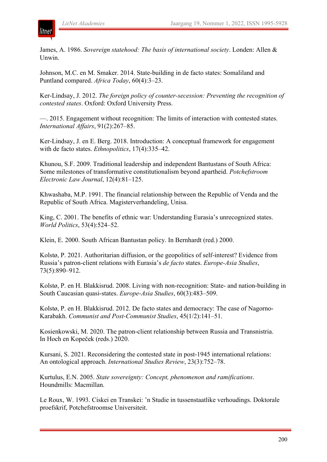

James, A. 1986. *Sovereign statehood: The basis of international society*. Londen: Allen & Unwin.

Johnson, M.C. en M. Smaker. 2014. State-building in de facto states: Somaliland and Puntland compared. *Africa Today*, 60(4):3–23.

Ker-Lindsay, J. 2012. *The foreign policy of counter-secession: Preventing the recognition of contested states*. Oxford: Oxford University Press.

—. 2015. Engagement without recognition: The limits of interaction with contested states. *International Affairs*, 91(2):267–85.

Ker-Lindsay, J. en E. Berg. 2018. Introduction: A conceptual framework for engagement with de facto states. *Ethnopolitics*, 17(4):335–42.

Khunou, S.F. 2009. Traditional leadership and independent Bantustans of South Africa: Some milestones of transformative constitutionalism beyond apartheid. *Potchefstroom Electronic Law Journal*, 12(4):81–125.

Khwashaba, M.P. 1991. The financial relationship between the Republic of Venda and the Republic of South Africa. Magisterverhandeling, Unisa.

King, C. 2001. The benefits of ethnic war: Understanding Eurasia's unrecognized states. *World Politics*, 53(4):524–52.

Klein, E. 2000. South African Bantustan policy. In Bernhardt (red.) 2000.

Kolstø, P. 2021. Authoritarian diffusion, or the geopolitics of self-interest? Evidence from Russia's patron-client relations with Eurasia's *de facto* states. *Europe-Asia Studies*, 73(5):890–912.

Kolstø, P. en H. Blakkisrud. 2008. Living with non-recognition: State- and nation-building in South Caucasian quasi-states. *Europe-Asia Studies*, 60(3):483–509.

Kolstø, P. en H. Blakkisrud. 2012. De facto states and democracy: The case of Nagorno-Karabakh. *Communist and Post-Communist Studies*, 45(1/2):141–51.

Kosienkowski, M. 2020. The patron-client relationship between Russia and Transnistria. In Hoch en Kopeček (reds.) 2020.

Kursani, S. 2021. Reconsidering the contested state in post-1945 international relations: An ontological approach. *International Studies Review*, 23(3):752–78.

Kurtulus, E.N. 2005. *State sovereignty: Concept, phenomenon and ramifications*. Houndmills: Macmillan.

Le Roux, W. 1993. Ciskei en Transkei: 'n Studie in tussenstaatlike verhoudings. Doktorale proefskrif, Potchefstroomse Universiteit.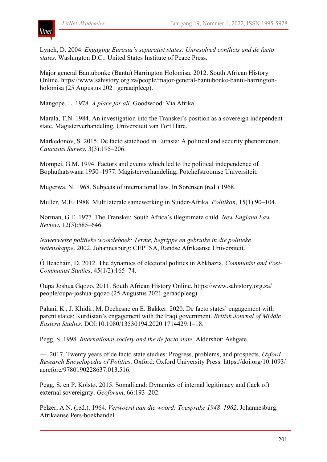

Lynch, D. 2004. *Engaging Eurasia's separatist states: Unresolved conflicts and de facto states*. Washington D.C.: United States Institute of Peace Press.

Major general Bantubonke (Bantu) Harrington Holomisa. 2012. South African History Online. https://www.sahistory.org.za/people/major-general-bantubonke-bantu-harringtonholomisa (25 Augustus 2021 geraadpleeg).

Mangope, L. 1978. *A place for all*. Goodwood: Via Afrika.

Marala, T.N. 1984. An investigation into the Transkei's position as a sovereign independent state. Magisterverhandeling, Universiteit van Fort Hare.

Markedonov, S. 2015. De facto statehood in Eurasia: A political and security phenomenon. *Caucasus Survey*, 3(3):195–206.

Mompei, G.M. 1994. Factors and events which led to the political independence of Bophuthatswana 1950–1977. Magisterverhandeling, Potchefstroomse Universiteit.

Mugerwa, N. 1968. Subjects of international law. In Sorensen (red.) 1968.

Muller, M.E. 1988. Multilaterale samewerking in Suider-Afrika. *Politikon*, 15(1):90–104.

Norman, G.E. 1977. The Transkei: South Africa's illegitimate child. *New England Law Review*, 12(3):585–646.

*Nuwerwetse politieke woordeboek: Terme, begrippe en gebruike in die politieke wetenskappe*. 2002. Johannesburg: CEPTSA, Randse Afrikaanse Universiteit.

Ó Beacháin, D. 2012. The dynamics of electoral politics in Abkhazia. *Communist and Post-Communist Studies*, 45(1/2):165–74.

Oupa Joshua Gqozo. 2011. South African History Online. https://www.sahistory.org.za/ people/oupa-joshua-gqozo (25 Augustus 2021 geraadpleeg).

Palani, K., J. Khidir, M. Dechesne en E. Bakker. 2020. De facto states' engagement with parent states: Kurdistan's engagement with the Iraqi government. *British Journal of Middle Eastern Studies*. DOI:10.1080/13530194.2020.1714429:1–18.

Pegg, S. 1998. *International society and the de facto state*. Aldershot: Ashgate.

—. 2017. Twenty years of de facto state studies: Progress, problems, and prospects. *Oxford Research Encyclopedia of Politics*. Oxford: Oxford University Press. https://doi.org/10.1093/ acrefore/9780190228637.013.516.

Pegg, S. en P. Kolstø. 2015. Somaliland: Dynamics of internal legitimacy and (lack of) external sovereignty. *Geoforum*, 66:193–202.

Pelzer, A.N. (red.). 1964. *Verwoerd aan die woord: Toesprake 1948–1962*. Johannesburg: Afrikaanse Pers-boekhandel.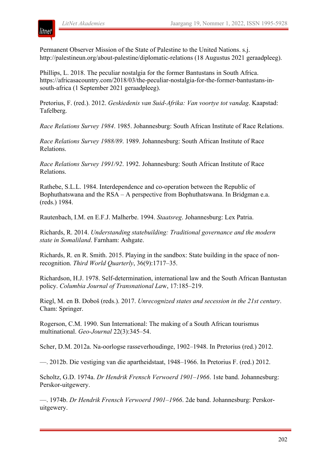

Permanent Observer Mission of the State of Palestine to the United Nations. s.j. http://palestineun.org/about-palestine/diplomatic-relations (18 Augustus 2021 geraadpleeg).

Phillips, L. 2018. The peculiar nostalgia for the former Bantustans in South Africa. https://africasacountry.com/2018/03/the-peculiar-nostalgia-for-the-former-bantustans-insouth-africa (1 September 2021 geraadpleeg).

Pretorius, F. (red.). 2012. *Geskiedenis van Suid-Afrika: Van voortye tot vandag*. Kaapstad: Tafelberg.

*Race Relations Survey 1984*. 1985. Johannesburg: South African Institute of Race Relations.

*Race Relations Survey 1988/89*. 1989. Johannesburg: South African Institute of Race Relations.

*Race Relations Survey 1991/92*. 1992. Johannesburg: South African Institute of Race Relations.

Rathebe, S.L.L. 1984. Interdependence and co-operation between the Republic of Bophuthatswana and the RSA – A perspective from Bophuthatswana. In Bridgman e.a. (reds.) 1984.

Rautenbach, I.M. en E.F.J. Malherbe. 1994. *Staatsreg*. Johannesburg: Lex Patria.

Richards, R. 2014. *Understanding statebuilding: Traditional governance and the modern state in Somaliland*. Farnham: Ashgate.

Richards, R. en R. Smith. 2015. Playing in the sandbox: State building in the space of nonrecognition. *Third World Quarterly*, 36(9):1717–35.

Richardson, H.J. 1978. Self-determination, international law and the South African Bantustan policy. *Columbia Journal of Transnational La*w, 17:185–219.

Riegl, M. en B. Doboš (reds.). 2017. *Unrecognized states and secession in the 21st century*. Cham: Springer.

Rogerson, C.M. 1990. Sun International: The making of a South African tourismus multinational. *Geo-Journal* 22(3):345–54.

Scher, D.M. 2012a. Na-oorlogse rasseverhoudinge, 1902–1948. In Pretorius (red.) 2012.

—. 2012b. Die vestiging van die apartheidstaat, 1948–1966. In Pretorius F. (red.) 2012.

Scholtz, G.D. 1974a. *Dr Hendrik Frensch Verwoerd 1901–1966*. 1ste band. Johannesburg: Perskor-uitgewery.

—. 1974b. *Dr Hendrik Frensch Verwoerd 1901–1966*. 2de band. Johannesburg: Perskoruitgewery.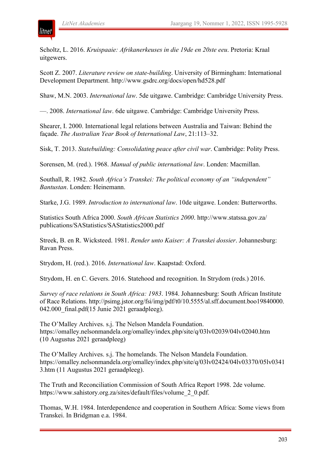litnet

Scholtz, L. 2016. *Kruispaaie: Afrikanerkeuses in die 19de en 20ste eeu*. Pretoria: Kraal uitgewers.

Scott Z. 2007. *Literature review on state-building*. University of Birmingham: International Development Department. http://www.gsdrc.org/docs/open/hd528.pdf

Shaw, M.N. 2003. *International law*. 5de uitgawe. Cambridge: Cambridge University Press.

—. 2008. *International law*. 6de uitgawe. Cambridge: Cambridge University Press.

Shearer, I. 2000. International legal relations between Australia and Taiwan: Behind the façade. *The Australian Year Book of International Law*, 21:113–32.

Sisk, T. 2013. *Statebuilding: Consolidating peace after civil war*. Cambridge: Polity Press.

Sorensen, M. (red.). 1968. *Manual of public international law*. Londen: Macmillan.

Southall, R. 1982. *South Africa's Transkei: The political economy of an "independent" Bantustan*. Londen: Heinemann.

Starke, J.G. 1989. *Introduction to international law*. 10de uitgawe. Londen: Butterworths.

Statistics South Africa 2000. *South African Statistics 2000*. http://www.statssa.gov.za/ publications/SAStatistics/SAStatistics2000.pdf

Streek, B. en R. Wicksteed. 1981. *Render unto Kaiser: A Transkei dossier*. Johannesburg: Ravan Press.

Strydom, H. (red.). 2016. *International law*. Kaapstad: Oxford.

Strydom, H. en C. Gevers. 2016. Statehood and recognition. In Strydom (reds.) 2016.

*Survey of race relations in South Africa: 1983*. 1984. Johannesburg: South African Institute of Race Relations. http://psimg.jstor.org/fsi/img/pdf/t0/10.5555/al.sff.document.boo19840000. 042.000 final.pdf(15 Junie 2021 geraadpleeg).

The O'Malley Archives. s.j. The Nelson Mandela Foundation. https://omalley.nelsonmandela.org/omalley/index.php/site/q/03lv02039/04lv02040.htm (10 Augustus 2021 geraadpleeg)

The O'Malley Archives. s.j. The homelands. The Nelson Mandela Foundation. https://omalley.nelsonmandela.org/omalley/index.php/site/q/03lv02424/04lv03370/05lv0341 3.htm (11 Augustus 2021 geraadpleeg).

The Truth and Reconciliation Commission of South Africa Report 1998. 2de volume. https://www.sahistory.org.za/sites/default/files/volume\_2\_0.pdf.

Thomas, W.H. 1984. Interdependence and cooperation in Southern Africa: Some views from Transkei. In Bridgman e.a. 1984.